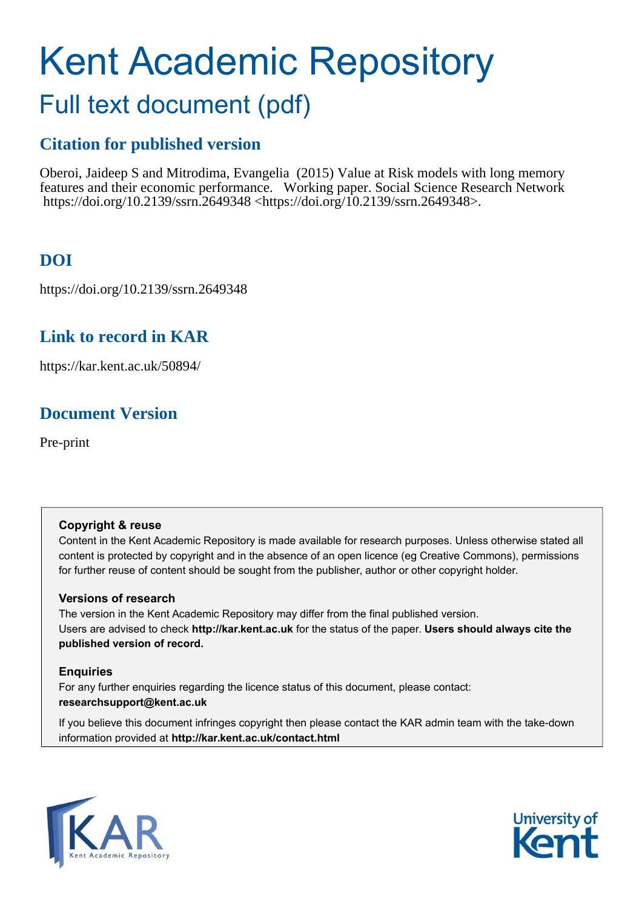# Kent Academic Repository

# Full text document (pdf)

# **Citation for published version**

Oberoi, Jaideep S and Mitrodima, Evangelia (2015) Value at Risk models with long memory features and their economic performance. Working paper. Social Science Research Network https://doi.org/10.2139/ssrn.2649348 <https://doi.org/10.2139/ssrn.2649348>.

# **DOI**

https://doi.org/10.2139/ssrn.2649348

# **Link to record in KAR**

https://kar.kent.ac.uk/50894/

# **Document Version**

Pre-print

# **Copyright & reuse**

Content in the Kent Academic Repository is made available for research purposes. Unless otherwise stated all content is protected by copyright and in the absence of an open licence (eg Creative Commons), permissions for further reuse of content should be sought from the publisher, author or other copyright holder.

# **Versions of research**

The version in the Kent Academic Repository may differ from the final published version. Users are advised to check **http://kar.kent.ac.uk** for the status of the paper. **Users should always cite the published version of record.**

# **Enquiries**

For any further enquiries regarding the licence status of this document, please contact: **researchsupport@kent.ac.uk**

If you believe this document infringes copyright then please contact the KAR admin team with the take-down information provided at **http://kar.kent.ac.uk/contact.html**



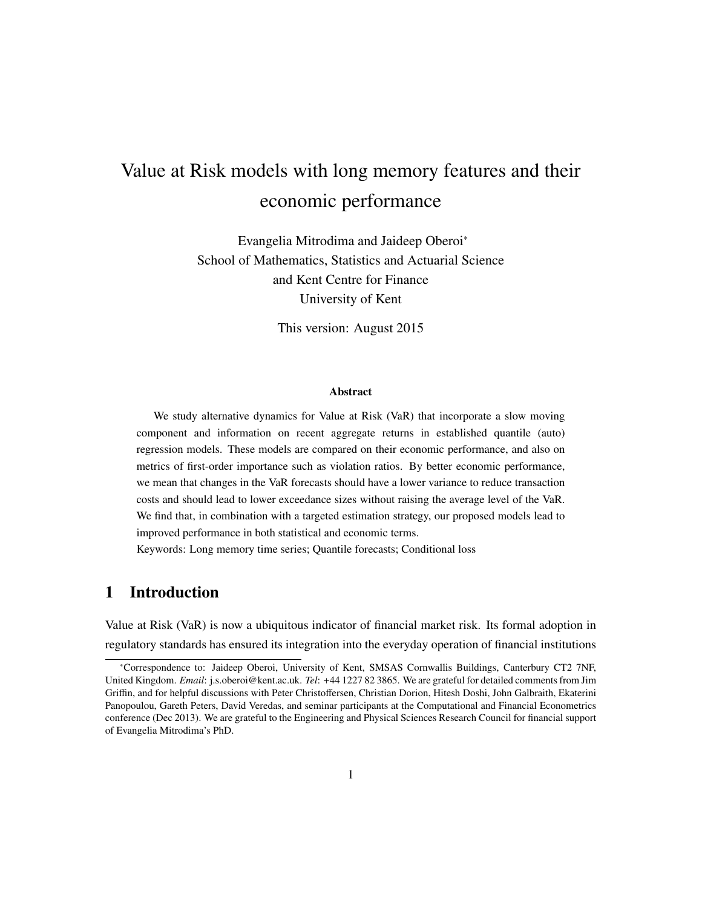# Value at Risk models with long memory features and their economic performance

Evangelia Mitrodima and Jaideep Oberoi<sup>∗</sup> School of Mathematics, Statistics and Actuarial Science and Kent Centre for Finance University of Kent

This version: August 2015

#### Abstract

We study alternative dynamics for Value at Risk (VaR) that incorporate a slow moving component and information on recent aggregate returns in established quantile (auto) regression models. These models are compared on their economic performance, and also on metrics of first-order importance such as violation ratios. By better economic performance, we mean that changes in the VaR forecasts should have a lower variance to reduce transaction costs and should lead to lower exceedance sizes without raising the average level of the VaR. We find that, in combination with a targeted estimation strategy, our proposed models lead to improved performance in both statistical and economic terms.

Keywords: Long memory time series; Quantile forecasts; Conditional loss

## 1 Introduction

Value at Risk (VaR) is now a ubiquitous indicator of financial market risk. Its formal adoption in regulatory standards has ensured its integration into the everyday operation of financial institutions

<sup>∗</sup>Correspondence to: Jaideep Oberoi, University of Kent, SMSAS Cornwallis Buildings, Canterbury CT2 7NF, United Kingdom. *Email*: j.s.oberoi@kent.ac.uk. *Tel*: +44 1227 82 3865. We are grateful for detailed comments from Jim Griffin, and for helpful discussions with Peter Christoffersen, Christian Dorion, Hitesh Doshi, John Galbraith, Ekaterini Panopoulou, Gareth Peters, David Veredas, and seminar participants at the Computational and Financial Econometrics conference (Dec 2013). We are grateful to the Engineering and Physical Sciences Research Council for financial support of Evangelia Mitrodima's PhD.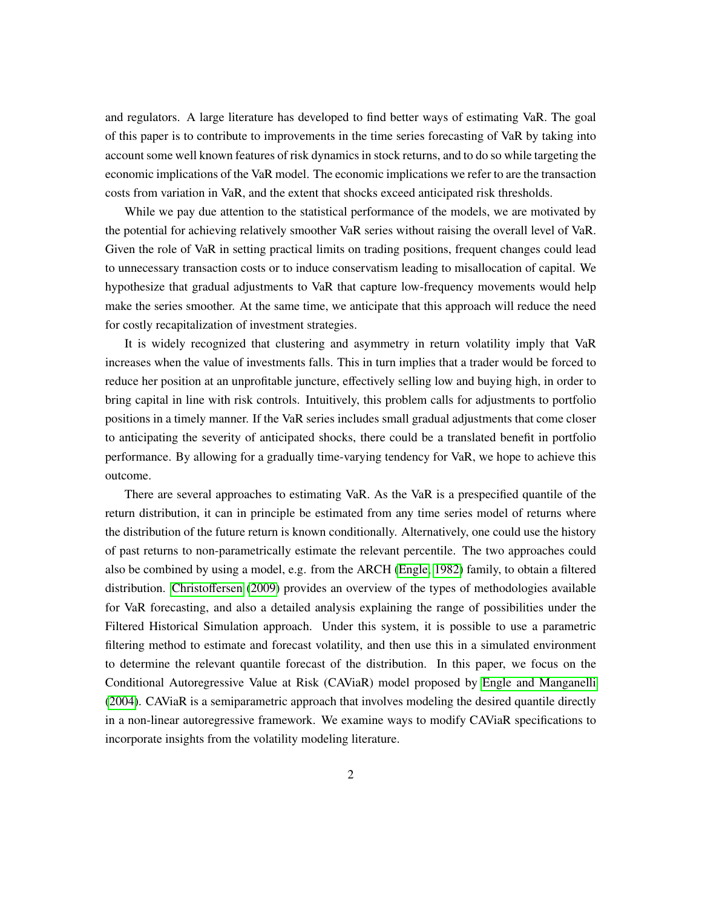and regulators. A large literature has developed to find better ways of estimating VaR. The goal of this paper is to contribute to improvements in the time series forecasting of VaR by taking into account some well known features of risk dynamics in stock returns, and to do so while targeting the economic implications of the VaR model. The economic implications we refer to are the transaction costs from variation in VaR, and the extent that shocks exceed anticipated risk thresholds.

While we pay due attention to the statistical performance of the models, we are motivated by the potential for achieving relatively smoother VaR series without raising the overall level of VaR. Given the role of VaR in setting practical limits on trading positions, frequent changes could lead to unnecessary transaction costs or to induce conservatism leading to misallocation of capital. We hypothesize that gradual adjustments to VaR that capture low-frequency movements would help make the series smoother. At the same time, we anticipate that this approach will reduce the need for costly recapitalization of investment strategies.

It is widely recognized that clustering and asymmetry in return volatility imply that VaR increases when the value of investments falls. This in turn implies that a trader would be forced to reduce her position at an unprofitable juncture, effectively selling low and buying high, in order to bring capital in line with risk controls. Intuitively, this problem calls for adjustments to portfolio positions in a timely manner. If the VaR series includes small gradual adjustments that come closer to anticipating the severity of anticipated shocks, there could be a translated benefit in portfolio performance. By allowing for a gradually time-varying tendency for VaR, we hope to achieve this outcome.

There are several approaches to estimating VaR. As the VaR is a prespecified quantile of the return distribution, it can in principle be estimated from any time series model of returns where the distribution of the future return is known conditionally. Alternatively, one could use the history of past returns to non-parametrically estimate the relevant percentile. The two approaches could also be combined by using a model, e.g. from the ARCH [\(Engle, 1982\)](#page-23-0) family, to obtain a filtered distribution. [Christo](#page-22-0)ffersen [\(2009\)](#page-22-0) provides an overview of the types of methodologies available for VaR forecasting, and also a detailed analysis explaining the range of possibilities under the Filtered Historical Simulation approach. Under this system, it is possible to use a parametric filtering method to estimate and forecast volatility, and then use this in a simulated environment to determine the relevant quantile forecast of the distribution. In this paper, we focus on the Conditional Autoregressive Value at Risk (CAViaR) model proposed by [Engle and Manganelli](#page-23-1) [\(2004\)](#page-23-1). CAViaR is a semiparametric approach that involves modeling the desired quantile directly in a non-linear autoregressive framework. We examine ways to modify CAViaR specifications to incorporate insights from the volatility modeling literature.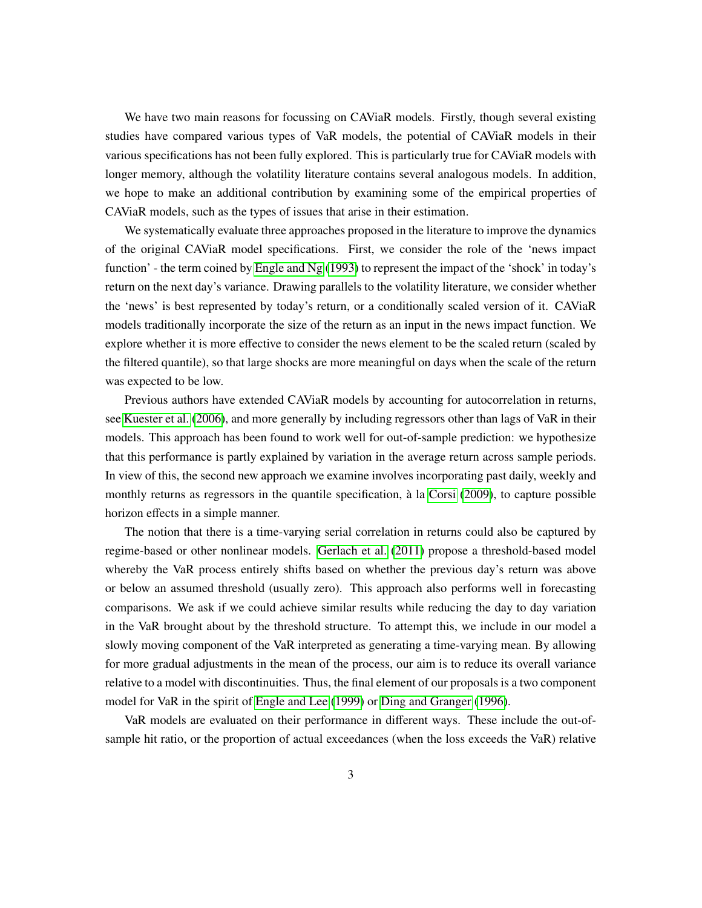We have two main reasons for focussing on CAViaR models. Firstly, though several existing studies have compared various types of VaR models, the potential of CAViaR models in their various specifications has not been fully explored. This is particularly true for CAViaR models with longer memory, although the volatility literature contains several analogous models. In addition, we hope to make an additional contribution by examining some of the empirical properties of CAViaR models, such as the types of issues that arise in their estimation.

We systematically evaluate three approaches proposed in the literature to improve the dynamics of the original CAViaR model specifications. First, we consider the role of the 'news impact function' - the term coined by [Engle and Ng](#page-23-2) [\(1993\)](#page-23-2) to represent the impact of the 'shock' in today's return on the next day's variance. Drawing parallels to the volatility literature, we consider whether the 'news' is best represented by today's return, or a conditionally scaled version of it. CAViaR models traditionally incorporate the size of the return as an input in the news impact function. We explore whether it is more effective to consider the news element to be the scaled return (scaled by the filtered quantile), so that large shocks are more meaningful on days when the scale of the return was expected to be low.

Previous authors have extended CAViaR models by accounting for autocorrelation in returns, see [Kuester et al. \(2006\)](#page-24-0), and more generally by including regressors other than lags of VaR in their models. This approach has been found to work well for out-of-sample prediction: we hypothesize that this performance is partly explained by variation in the average return across sample periods. In view of this, the second new approach we examine involves incorporating past daily, weekly and monthly returns as regressors in the quantile specification, à la [Corsi \(2009\)](#page-22-1), to capture possible horizon effects in a simple manner.

The notion that there is a time-varying serial correlation in returns could also be captured by regime-based or other nonlinear models. [Gerlach et al.](#page-23-3) [\(2011\)](#page-23-3) propose a threshold-based model whereby the VaR process entirely shifts based on whether the previous day's return was above or below an assumed threshold (usually zero). This approach also performs well in forecasting comparisons. We ask if we could achieve similar results while reducing the day to day variation in the VaR brought about by the threshold structure. To attempt this, we include in our model a slowly moving component of the VaR interpreted as generating a time-varying mean. By allowing for more gradual adjustments in the mean of the process, our aim is to reduce its overall variance relative to a model with discontinuities. Thus, the final element of our proposals is a two component model for VaR in the spirit of [Engle and Lee \(1999\)](#page-23-4) or [Ding and Granger \(1996\)](#page-23-5).

VaR models are evaluated on their performance in different ways. These include the out-ofsample hit ratio, or the proportion of actual exceedances (when the loss exceeds the VaR) relative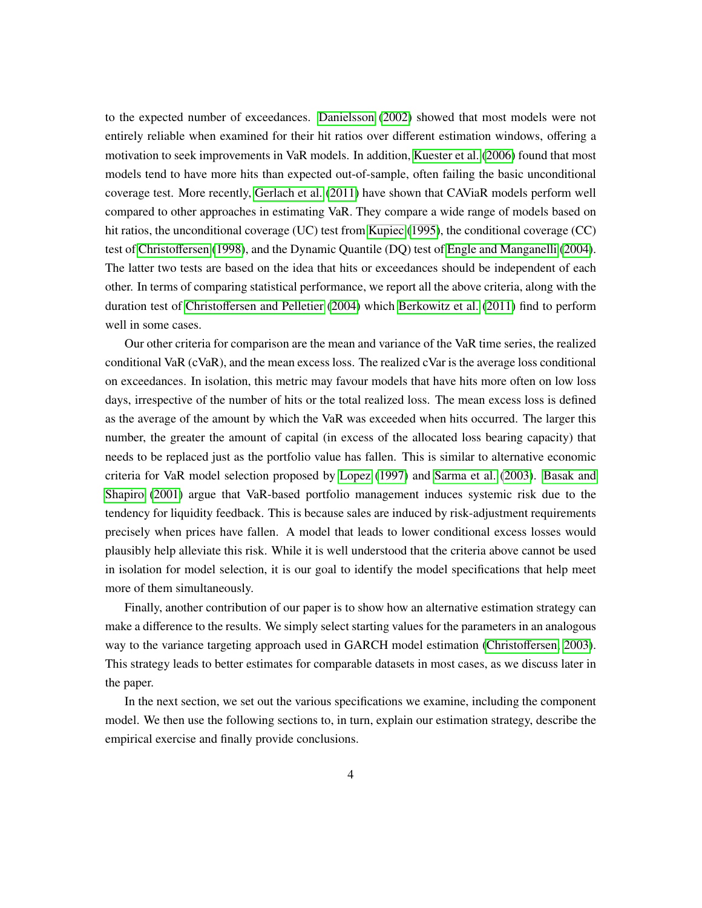to the expected number of exceedances. [Danielsson \(2002\)](#page-23-6) showed that most models were not entirely reliable when examined for their hit ratios over different estimation windows, offering a motivation to seek improvements in VaR models. In addition, [Kuester et al. \(2006\)](#page-24-0) found that most models tend to have more hits than expected out-of-sample, often failing the basic unconditional coverage test. More recently, [Gerlach et al.](#page-23-3) [\(2011\)](#page-23-3) have shown that CAViaR models perform well compared to other approaches in estimating VaR. They compare a wide range of models based on hit ratios, the unconditional coverage (UC) test from [Kupiec](#page-24-1) [\(1995\)](#page-24-1), the conditional coverage (CC) test of [Christo](#page-22-2)ffersen [\(1998\)](#page-22-2), and the Dynamic Quantile (DQ) test of [Engle and Manganelli \(2004\)](#page-23-1). The latter two tests are based on the idea that hits or exceedances should be independent of each other. In terms of comparing statistical performance, we report all the above criteria, along with the duration test of Christoff[ersen and Pelletier \(2004\)](#page-22-3) which [Berkowitz et al.](#page-22-4) [\(2011\)](#page-22-4) find to perform well in some cases.

<span id="page-4-0"></span>Our other criteria for comparison are the mean and variance of the VaR time series, the realized conditional VaR (cVaR), and the mean excess loss. The realized cVar is the average loss conditional on exceedances. In isolation, this metric may favour models that have hits more often on low loss days, irrespective of the number of hits or the total realized loss. The mean excess loss is defined as the average of the amount by which the VaR was exceeded when hits occurred. The larger this number, the greater the amount of capital (in excess of the allocated loss bearing capacity) that needs to be replaced just as the portfolio value has fallen. This is similar to alternative economic criteria for VaR model selection proposed by [Lopez](#page-24-2) [\(1997\)](#page-24-2) and [Sarma et al. \(2003\)](#page-24-3). [Basak and](#page-22-5) [Shapiro \(2001\)](#page-22-5) argue that VaR-based portfolio management induces systemic risk due to the tendency for liquidity feedback. This is because sales are induced by risk-adjustment requirements precisely when prices have fallen. A model that leads to lower conditional excess losses would plausibly help alleviate this risk. While it is well understood that the criteria above cannot be used in isolation for model selection, it is our goal to identify the model specifications that help meet more of them simultaneously.

Finally, another contribution of our paper is to show how an alternative estimation strategy can make a difference to the results. We simply select starting values for the parameters in an analogous way to the variance targeting approach used in GARCH model estimation [\(Christo](#page-22-6)ffersen, [2003\)](#page-22-6). This strategy leads to better estimates for comparable datasets in most cases, as we discuss later in the paper.

In the next section, we set out the various specifications we examine, including the component model. We then use the following sections to, in turn, explain our estimation strategy, describe the empirical exercise and finally provide conclusions.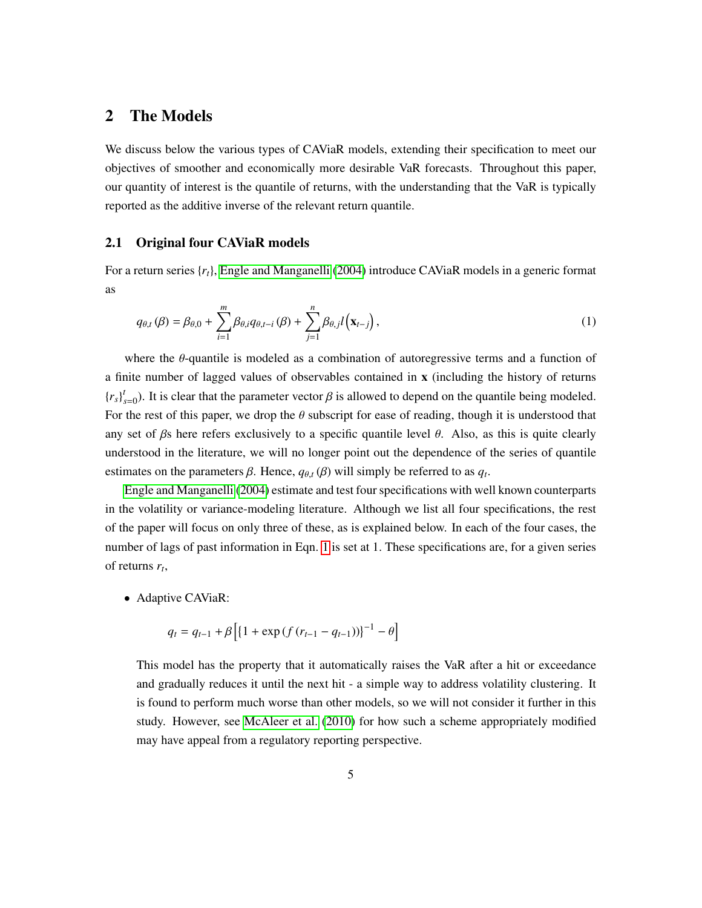# <span id="page-5-0"></span>2 The Models

<span id="page-5-2"></span>We discuss below the various types of CAViaR models, extending their specification to meet our objectives of smoother and economically more desirable VaR forecasts. Throughout this paper, our quantity of interest is the quantile of returns, with the understanding that the VaR is typically reported as the additive inverse of the relevant return quantile.

#### 2.1 Original four CAViaR models

For a return series {*rt*}, [Engle and Manganelli \(2004\)](#page-23-1) introduce CAViaR models in a generic format as

<span id="page-5-1"></span>
$$
q_{\theta,t}(\beta) = \beta_{\theta,0} + \sum_{i=1}^{m} \beta_{\theta,i} q_{\theta,t-i}(\beta) + \sum_{j=1}^{n} \beta_{\theta,j} l(\mathbf{x}_{t-j}),
$$
\n(1)

where the θ-quantile is modeled as a combination of autoregressive terms and a function of a finite number of lagged values of observables contained in x (including the history of returns  ${r_s}_{s=0}^t$ ). It is clear that the parameter vector  $\beta$  is allowed to depend on the quantile being modeled. For the rest of this paper, we drop the  $\theta$  subscript for ease of reading, though it is understood that any set of  $\beta$ s here refers exclusively to a specific quantile level  $\theta$ . Also, as this is quite clearly understood in the literature, we will no longer point out the dependence of the series of quantile estimates on the parameters  $\beta$ . Hence,  $q_{\theta,t}(\beta)$  will simply be referred to as  $q_t$ .

[Engle and Manganelli](#page-23-1) [\(2004\)](#page-23-1) estimate and test four specifications with well known counterparts in the volatility or variance-modeling literature. Although we list all four specifications, the rest of the paper will focus on only three of these, as is explained below. In each of the four cases, the number of lags of past information in Eqn. [1](#page-4-0) is set at 1. These specifications are, for a given series of returns *r<sup>t</sup>* ,

• Adaptive CAViaR:

$$
q_{t} = q_{t-1} + \beta \left[ \left\{ 1 + \exp\left( f \left( r_{t-1} - q_{t-1} \right) \right) \right\}^{-1} - \theta \right]
$$

This model has the property that it automatically raises the VaR after a hit or exceedance and gradually reduces it until the next hit - a simple way to address volatility clustering. It is found to perform much worse than other models, so we will not consider it further in this study. However, see [McAleer et al.](#page-24-4) [\(2010\)](#page-24-4) for how such a scheme appropriately modified may have appeal from a regulatory reporting perspective.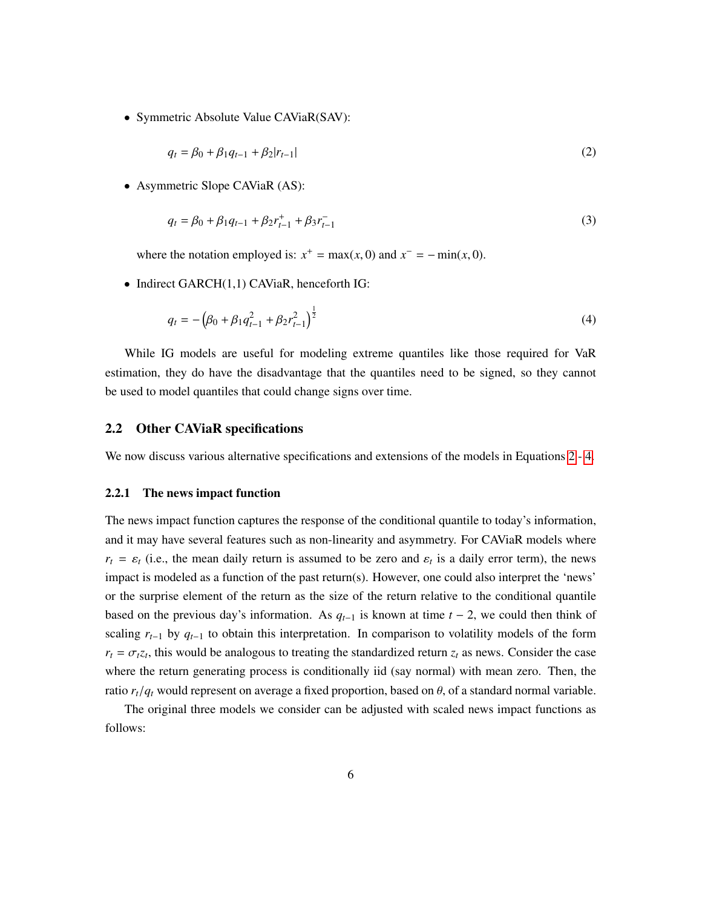• Symmetric Absolute Value CAViaR(SAV):

<span id="page-6-3"></span><span id="page-6-2"></span>
$$
q_t = \beta_0 + \beta_1 q_{t-1} + \beta_2 |r_{t-1}| \tag{2}
$$

• Asymmetric Slope CAViaR (AS):

$$
q_t = \beta_0 + \beta_1 q_{t-1} + \beta_2 r_{t-1}^+ + \beta_3 r_{t-1}^- \tag{3}
$$

where the notation employed is:  $x^+ = \max(x, 0)$  and  $x^- = -\min(x, 0)$ .

• Indirect GARCH(1,1) CAViaR, henceforth IG:

<span id="page-6-4"></span>
$$
q_t = -\left(\beta_0 + \beta_1 q_{t-1}^2 + \beta_2 r_{t-1}^2\right)^{\frac{1}{2}}
$$
\n(4)

While IG models are useful for modeling extreme quantiles like those required for VaR estimation, they do have the disadvantage that the quantiles need to be signed, so they cannot be used to model quantiles that could change signs over time.

#### <span id="page-6-1"></span>2.2 Other CAViaR specifications

We now discuss various alternative specifications and extensions of the models in Equations [2](#page-5-0) - [4.](#page-5-1)

#### <span id="page-6-0"></span>2.2.1 The news impact function

The news impact function captures the response of the conditional quantile to today's information, and it may have several features such as non-linearity and asymmetry. For CAViaR models where  $r_t = \varepsilon_t$  (i.e., the mean daily return is assumed to be zero and  $\varepsilon_t$  is a daily error term), the news impact is modeled as a function of the past return(s). However, one could also interpret the 'news' or the surprise element of the return as the size of the return relative to the conditional quantile based on the previous day's information. As  $q_{t-1}$  is known at time  $t - 2$ , we could then think of scaling  $r_{t-1}$  by  $q_{t-1}$  to obtain this interpretation. In comparison to volatility models of the form  $r_t = \sigma_t z_t$ , this would be analogous to treating the standardized return  $z_t$  as news. Consider the case where the return generating process is conditionally iid (say normal) with mean zero. Then, the ratio  $r_t/q_t$  would represent on average a fixed proportion, based on  $\theta$ , of a standard normal variable.

The original three models we consider can be adjusted with scaled news impact functions as follows: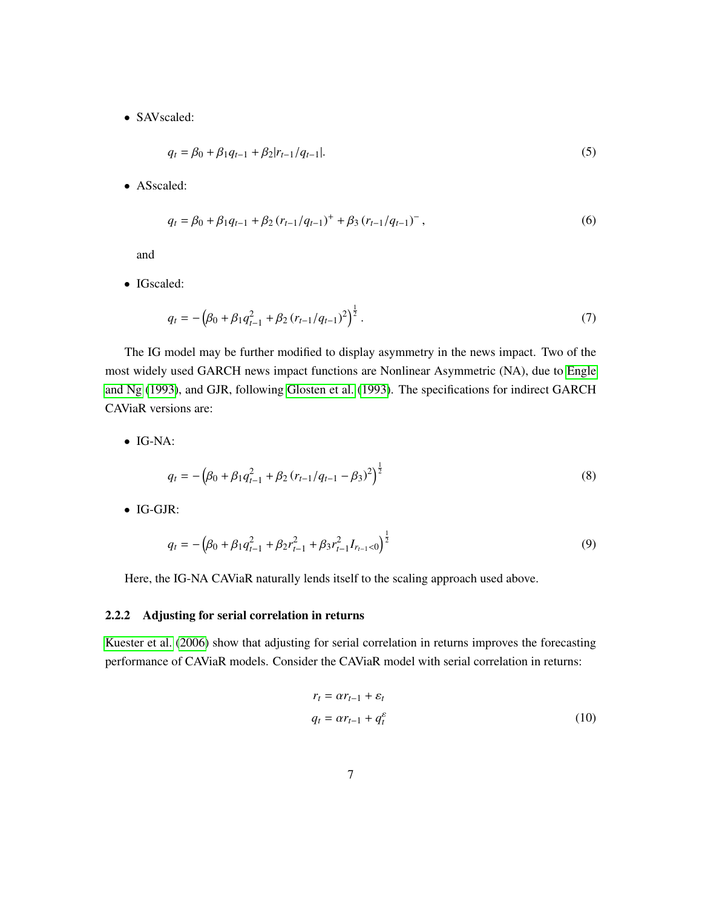• SAVscaled:

<span id="page-7-1"></span>
$$
q_t = \beta_0 + \beta_1 q_{t-1} + \beta_2 |r_{t-1}/q_{t-1}|.
$$
\n(5)

• ASscaled:

$$
q_{t} = \beta_{0} + \beta_{1}q_{t-1} + \beta_{2}(r_{t-1}/q_{t-1})^{+} + \beta_{3}(r_{t-1}/q_{t-1})^{-},
$$
\n(6)

and

• IGscaled:

$$
q_t = -\left(\beta_0 + \beta_1 q_{t-1}^2 + \beta_2 (r_{t-1}/q_{t-1})^2\right)^{\frac{1}{2}}.
$$
\n(7)

The IG model may be further modified to display asymmetry in the news impact. Two of the most widely used GARCH news impact functions are Nonlinear Asymmetric (NA), due to [Engle](#page-23-2) [and Ng \(1993\)](#page-23-2), and GJR, following [Glosten et al.](#page-23-7) [\(1993\)](#page-23-7). The specifications for indirect GARCH CAViaR versions are:

• IG-NA:

$$
q_t = -\left(\beta_0 + \beta_1 q_{t-1}^2 + \beta_2 (r_{t-1}/q_{t-1} - \beta_3)^2\right)^{\frac{1}{2}}
$$
\n(8)

• IG-GJR:

<span id="page-7-0"></span>
$$
q_t = -\left(\beta_0 + \beta_1 q_{t-1}^2 + \beta_2 r_{t-1}^2 + \beta_3 r_{t-1}^2 I_{r_{t-1} < 0}\right)^{\frac{1}{2}}
$$
(9)

Here, the IG-NA CAViaR naturally lends itself to the scaling approach used above.

#### 2.2.2 Adjusting for serial correlation in returns

[Kuester et al. \(2006\)](#page-24-0) show that adjusting for serial correlation in returns improves the forecasting performance of CAViaR models. Consider the CAViaR model with serial correlation in returns:

$$
r_t = \alpha r_{t-1} + \varepsilon_t
$$
  
\n
$$
q_t = \alpha r_{t-1} + q_t^{\varepsilon}
$$
\n(10)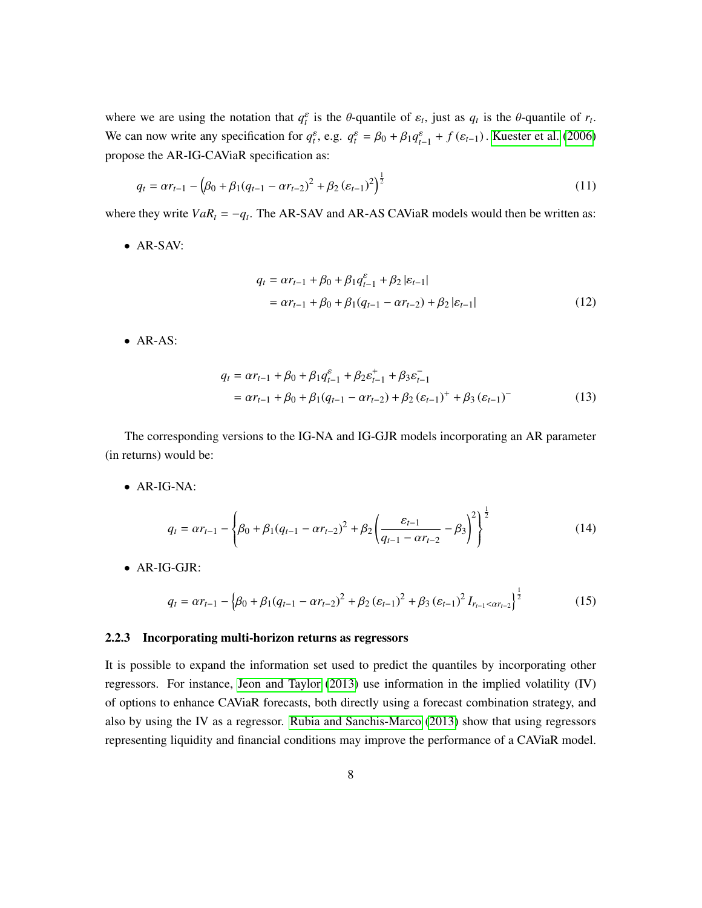where we are using the notation that  $q_t^{\varepsilon}$  is the  $\theta$ -quantile of  $\varepsilon_t$ , just as  $q_t$  is the  $\theta$ -quantile of  $r_t$ . We can now write any specification for  $q_t^{\varepsilon}$ , e.g.  $q_t^{\varepsilon} = \beta_0 + \beta_1 q_{t-1}^{\varepsilon} + f(\varepsilon_{t-1})$ . [Kuester et al.](#page-24-0) [\(2006\)](#page-24-0) propose the AR-IG-CAViaR specification as:

$$
q_{t} = \alpha r_{t-1} - \left(\beta_0 + \beta_1 (q_{t-1} - \alpha r_{t-2})^2 + \beta_2 (\varepsilon_{t-1})^2\right)^{\frac{1}{2}}
$$
\n(11)

where they write  $VaR_t = -q_t$ . The AR-SAV and AR-AS CAViaR models would then be written as:

• AR-SAV:

$$
q_{t} = \alpha r_{t-1} + \beta_0 + \beta_1 q_{t-1}^{\varepsilon} + \beta_2 |\varepsilon_{t-1}|
$$
  
=  $\alpha r_{t-1} + \beta_0 + \beta_1 (q_{t-1} - \alpha r_{t-2}) + \beta_2 |\varepsilon_{t-1}|$  (12)

• AR-AS:

$$
q_{t} = \alpha r_{t-1} + \beta_0 + \beta_1 q_{t-1}^{\varepsilon} + \beta_2 \varepsilon_{t-1}^+ + \beta_3 \varepsilon_{t-1}^-
$$
  
=  $\alpha r_{t-1} + \beta_0 + \beta_1 (q_{t-1} - \alpha r_{t-2}) + \beta_2 (\varepsilon_{t-1})^+ + \beta_3 (\varepsilon_{t-1})^-$  (13)

The corresponding versions to the IG-NA and IG-GJR models incorporating an AR parameter (in returns) would be:

• AR-IG-NA:

$$
q_t = \alpha r_{t-1} - \left\{ \beta_0 + \beta_1 (q_{t-1} - \alpha r_{t-2})^2 + \beta_2 \left( \frac{\varepsilon_{t-1}}{q_{t-1} - \alpha r_{t-2}} - \beta_3 \right)^2 \right\}^{\frac{1}{2}}
$$
(14)

• AR-IG-GJR:

$$
q_{t} = \alpha r_{t-1} - \left\{ \beta_0 + \beta_1 (q_{t-1} - \alpha r_{t-2})^2 + \beta_2 (\varepsilon_{t-1})^2 + \beta_3 (\varepsilon_{t-1})^2 I_{r_{t-1} < \alpha r_{t-2}} \right\}^{\frac{1}{2}}
$$
(15)

#### 2.2.3 Incorporating multi-horizon returns as regressors

It is possible to expand the information set used to predict the quantiles by incorporating other regressors. For instance, [Jeon and Taylor \(2013\)](#page-23-8) use information in the implied volatility (IV) of options to enhance CAViaR forecasts, both directly using a forecast combination strategy, and also by using the IV as a regressor. [Rubia and Sanchis-Marco](#page-24-5) [\(2013\)](#page-24-5) show that using regressors representing liquidity and financial conditions may improve the performance of a CAViaR model.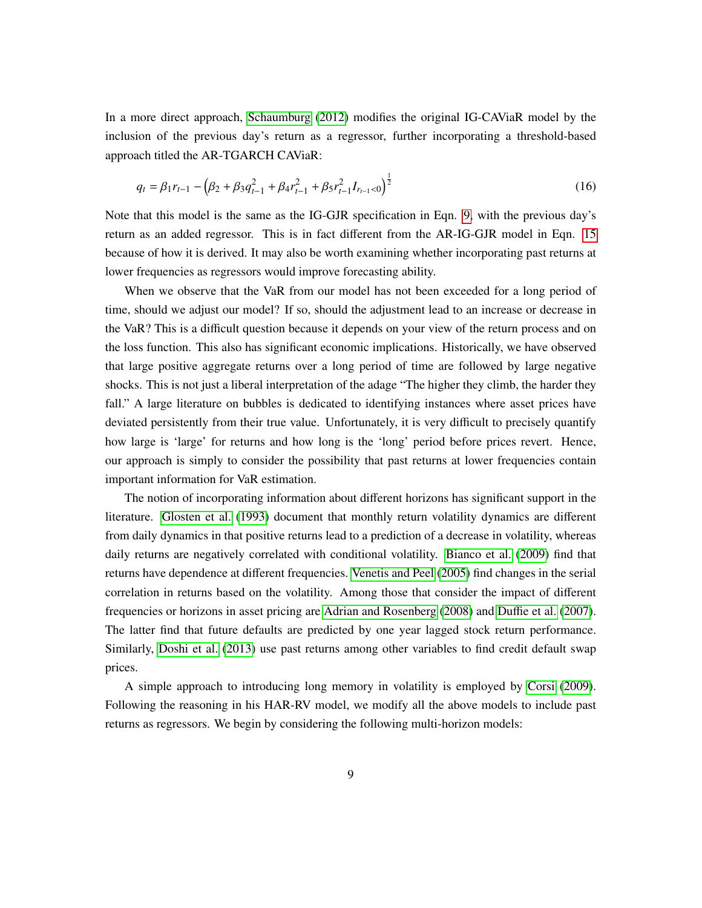<span id="page-9-1"></span>In a more direct approach, [Schaumburg](#page-24-6) [\(2012\)](#page-24-6) modifies the original IG-CAViaR model by the inclusion of the previous day's return as a regressor, further incorporating a threshold-based approach titled the AR-TGARCH CAViaR:

$$
q_t = \beta_1 r_{t-1} - \left(\beta_2 + \beta_3 q_{t-1}^2 + \beta_4 r_{t-1}^2 + \beta_5 r_{t-1}^2 I_{r_{t-1} < 0}\right)^{\frac{1}{2}}
$$
(16)

Note that this model is the same as the IG-GJR specification in Eqn. [9,](#page-6-0) with the previous day's return as an added regressor. This is in fact different from the AR-IG-GJR model in Eqn. [15](#page-7-0) because of how it is derived. It may also be worth examining whether incorporating past returns at lower frequencies as regressors would improve forecasting ability.

When we observe that the VaR from our model has not been exceeded for a long period of time, should we adjust our model? If so, should the adjustment lead to an increase or decrease in the VaR? This is a difficult question because it depends on your view of the return process and on the loss function. This also has significant economic implications. Historically, we have observed that large positive aggregate returns over a long period of time are followed by large negative shocks. This is not just a liberal interpretation of the adage "The higher they climb, the harder they fall." A large literature on bubbles is dedicated to identifying instances where asset prices have deviated persistently from their true value. Unfortunately, it is very difficult to precisely quantify how large is 'large' for returns and how long is the 'long' period before prices revert. Hence, our approach is simply to consider the possibility that past returns at lower frequencies contain important information for VaR estimation.

<span id="page-9-2"></span>The notion of incorporating information about different horizons has significant support in the literature. [Glosten et al. \(1993\)](#page-23-7) document that monthly return volatility dynamics are different from daily dynamics in that positive returns lead to a prediction of a decrease in volatility, whereas daily returns are negatively correlated with conditional volatility. [Bianco et al.](#page-22-7) [\(2009\)](#page-22-7) find that returns have dependence at different frequencies. [Venetis and Peel](#page-24-7) [\(2005\)](#page-24-7) find changes in the serial correlation in returns based on the volatility. Among those that consider the impact of different frequencies or horizons in asset pricing are [Adrian and Rosenberg \(2008\)](#page-22-8) and Duffi[e et al. \(2007\)](#page-23-9). The latter find that future defaults are predicted by one year lagged stock return performance. Similarly, [Doshi et al.](#page-23-10) [\(2013\)](#page-23-10) use past returns among other variables to find credit default swap prices.

<span id="page-9-0"></span>A simple approach to introducing long memory in volatility is employed by [Corsi \(2009\)](#page-22-1). Following the reasoning in his HAR-RV model, we modify all the above models to include past returns as regressors. We begin by considering the following multi-horizon models: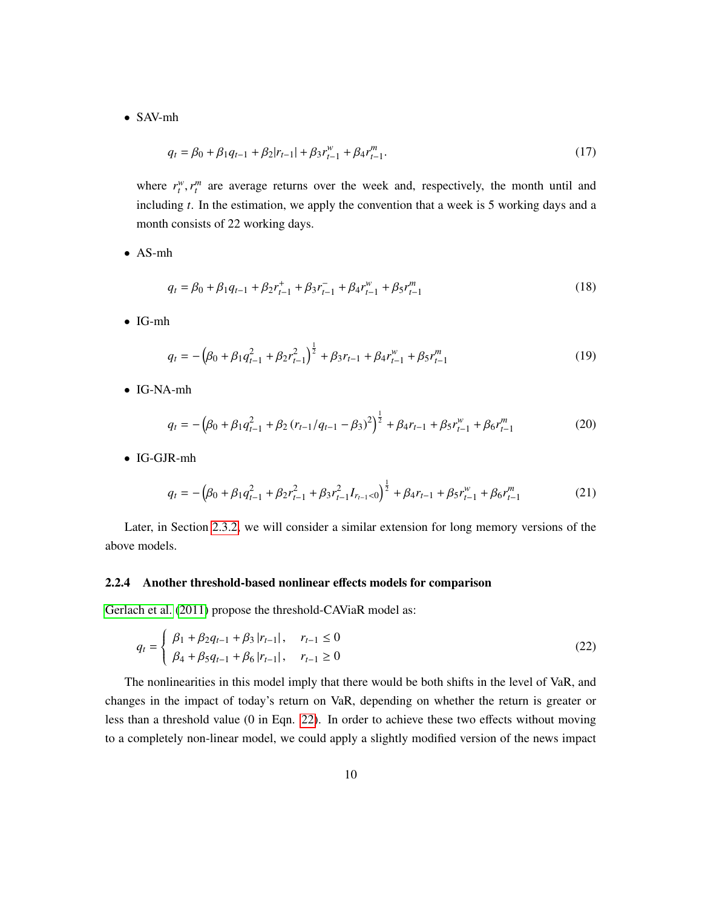<span id="page-10-1"></span>• SAV-mh

$$
q_t = \beta_0 + \beta_1 q_{t-1} + \beta_2 |r_{t-1}| + \beta_3 r_{t-1}^w + \beta_4 r_{t-1}^m.
$$
\n(17)

where  $r_t^w$ ,  $r_t^m$  are average returns over the week and, respectively, the month until and including *t*. In the estimation, we apply the convention that a week is 5 working days and a month consists of 22 working days.

• AS-mh

$$
q_t = \beta_0 + \beta_1 q_{t-1} + \beta_2 r_{t-1}^+ + \beta_3 r_{t-1}^- + \beta_4 r_{t-1}^w + \beta_5 r_{t-1}^m
$$
\n(18)

• IG-mh

$$
q_t = -\left(\beta_0 + \beta_1 q_{t-1}^2 + \beta_2 r_{t-1}^2\right)^{\frac{1}{2}} + \beta_3 r_{t-1} + \beta_4 r_{t-1}^w + \beta_5 r_{t-1}^m \tag{19}
$$

<span id="page-10-0"></span>• IG-NA-mh

$$
q_t = -\left(\beta_0 + \beta_1 q_{t-1}^2 + \beta_2 (r_{t-1}/q_{t-1} - \beta_3)^2\right)^{\frac{1}{2}} + \beta_4 r_{t-1} + \beta_5 r_{t-1}^w + \beta_6 r_{t-1}^m \tag{20}
$$

• IG-GJR-mh

$$
q_t = -\left(\beta_0 + \beta_1 q_{t-1}^2 + \beta_2 r_{t-1}^2 + \beta_3 r_{t-1}^2 I_{r_{t-1} < 0}\right)^{\frac{1}{2}} + \beta_4 r_{t-1} + \beta_5 r_{t-1}^w + \beta_6 r_{t-1}^m
$$
(21)

Later, in Section [2.3.2,](#page-13-0) we will consider a similar extension for long memory versions of the above models.

#### 2.2.4 Another threshold-based nonlinear effects models for comparison

[Gerlach et al.](#page-23-3) [\(2011\)](#page-23-3) propose the threshold-CAViaR model as:

$$
q_{t} = \begin{cases} \beta_{1} + \beta_{2} q_{t-1} + \beta_{3} |r_{t-1}|, & r_{t-1} \le 0 \\ \beta_{4} + \beta_{5} q_{t-1} + \beta_{6} |r_{t-1}|, & r_{t-1} \ge 0 \end{cases}
$$
(22)

The nonlinearities in this model imply that there would be both shifts in the level of VaR, and changes in the impact of today's return on VaR, depending on whether the return is greater or less than a threshold value (0 in Eqn. [22\)](#page-9-0). In order to achieve these two effects without moving to a completely non-linear model, we could apply a slightly modified version of the news impact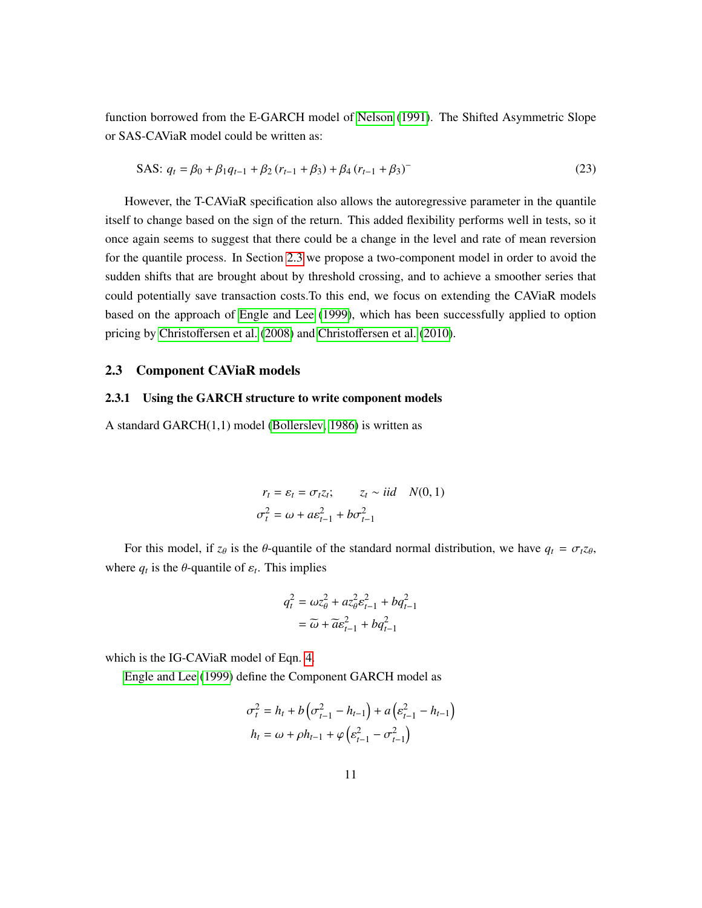function borrowed from the E-GARCH model of [Nelson](#page-24-8) [\(1991\)](#page-24-8). The Shifted Asymmetric Slope or SAS-CAViaR model could be written as:

SAS: 
$$
q_t = \beta_0 + \beta_1 q_{t-1} + \beta_2 (r_{t-1} + \beta_3) + \beta_4 (r_{t-1} + \beta_3)
$$
 (23)

However, the T-CAViaR specification also allows the autoregressive parameter in the quantile itself to change based on the sign of the return. This added flexibility performs well in tests, so it once again seems to suggest that there could be a change in the level and rate of mean reversion for the quantile process. In Section [2.3](#page-10-0) we propose a two-component model in order to avoid the sudden shifts that are brought about by threshold crossing, and to achieve a smoother series that could potentially save transaction costs.To this end, we focus on extending the CAViaR models based on the approach of [Engle and Lee](#page-23-4) [\(1999\)](#page-23-4), which has been successfully applied to option pricing by Christoff[ersen et al. \(2008\)](#page-22-9) and Christoff[ersen et al.](#page-22-10) [\(2010\)](#page-22-10).

#### 2.3 Component CAViaR models

#### 2.3.1 Using the GARCH structure to write component models

A standard GARCH(1,1) model [\(Bollerslev, 1986\)](#page-22-11) is written as

$$
r_t = \varepsilon_t = \sigma_t z_t; \qquad z_t \sim iid \quad N(0, 1)
$$
  

$$
\sigma_t^2 = \omega + a \varepsilon_{t-1}^2 + b \sigma_{t-1}^2
$$

For this model, if  $z_\theta$  is the  $\theta$ -quantile of the standard normal distribution, we have  $q_t = \sigma_t z_\theta$ , where  $q_t$  is the  $\theta$ -quantile of  $\varepsilon_t$ . This implies

$$
q_t^2 = \omega z_\theta^2 + a z_\theta^2 \varepsilon_{t-1}^2 + b q_{t-1}^2
$$

$$
= \widetilde{\omega} + \widetilde{a} \varepsilon_{t-1}^2 + b q_{t-1}^2
$$

which is the IG-CAViaR model of Eqn. [4.](#page-5-1)

[Engle and Lee \(1999\)](#page-23-4) define the Component GARCH model as

$$
\sigma_t^2 = h_t + b \left( \sigma_{t-1}^2 - h_{t-1} \right) + a \left( \varepsilon_{t-1}^2 - h_{t-1} \right)
$$

$$
h_t = \omega + \rho h_{t-1} + \varphi \left( \varepsilon_{t-1}^2 - \sigma_{t-1}^2 \right)
$$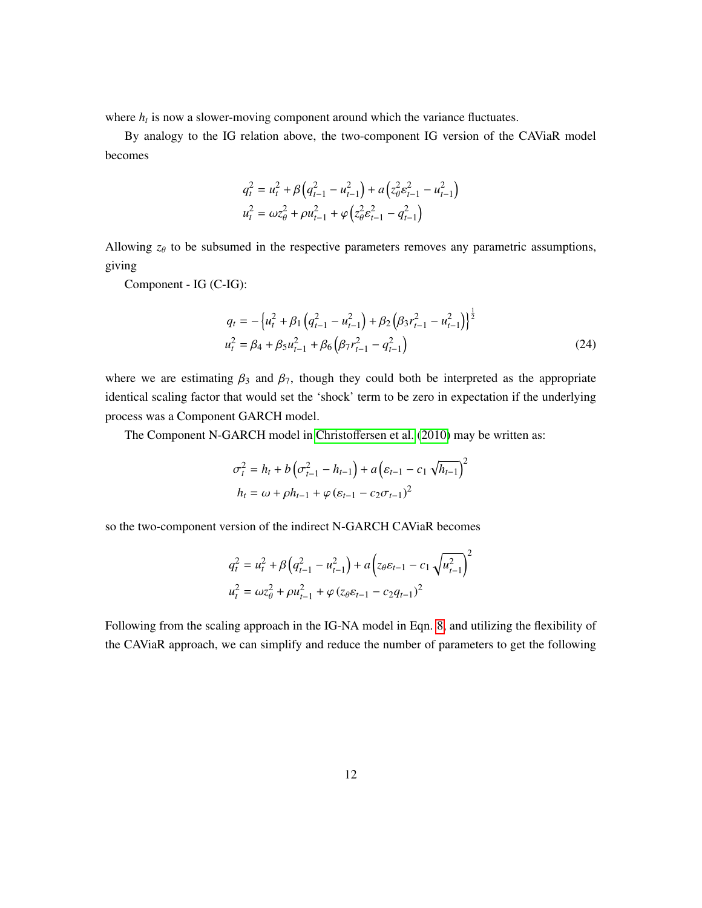where  $h_t$  is now a slower-moving component around which the variance fluctuates.

By analogy to the IG relation above, the two-component IG version of the CAViaR model becomes

<span id="page-12-3"></span><span id="page-12-0"></span>
$$
q_t^2 = u_t^2 + \beta \left( q_{t-1}^2 - u_{t-1}^2 \right) + a \left( z_\theta^2 \varepsilon_{t-1}^2 - u_{t-1}^2 \right)
$$
  

$$
u_t^2 = \omega z_\theta^2 + \rho u_{t-1}^2 + \varphi \left( z_\theta^2 \varepsilon_{t-1}^2 - q_{t-1}^2 \right)
$$

Allowing  $z_{\theta}$  to be subsumed in the respective parameters removes any parametric assumptions, giving

Component - IG (C-IG):

<span id="page-12-1"></span>
$$
q_{t} = -\left\{u_{t}^{2} + \beta_{1}\left(q_{t-1}^{2} - u_{t-1}^{2}\right) + \beta_{2}\left(\beta_{3}r_{t-1}^{2} - u_{t-1}^{2}\right)\right\}^{\frac{1}{2}}
$$

$$
u_{t}^{2} = \beta_{4} + \beta_{5}u_{t-1}^{2} + \beta_{6}\left(\beta_{7}r_{t-1}^{2} - q_{t-1}^{2}\right)
$$
(24)

where we are estimating  $\beta_3$  and  $\beta_7$ , though they could both be interpreted as the appropriate identical scaling factor that would set the 'shock' term to be zero in expectation if the underlying process was a Component GARCH model.

The Component N-GARCH model in Christoff[ersen et al.](#page-22-10) [\(2010\)](#page-22-10) may be written as:

$$
\sigma_t^2 = h_t + b \left( \sigma_{t-1}^2 - h_{t-1} \right) + a \left( \varepsilon_{t-1} - c_1 \sqrt{h_{t-1}} \right)^2
$$

$$
h_t = \omega + \rho h_{t-1} + \varphi \left( \varepsilon_{t-1} - c_2 \sigma_{t-1} \right)^2
$$

so the two-component version of the indirect N-GARCH CAViaR becomes

<span id="page-12-2"></span>
$$
q_t^2 = u_t^2 + \beta \left( q_{t-1}^2 - u_{t-1}^2 \right) + a \left( z_\theta \varepsilon_{t-1} - c_1 \sqrt{u_{t-1}^2} \right)^2
$$
  

$$
u_t^2 = \omega z_\theta^2 + \rho u_{t-1}^2 + \varphi \left( z_\theta \varepsilon_{t-1} - c_2 q_{t-1} \right)^2
$$

Following from the scaling approach in the IG-NA model in Eqn. [8,](#page-6-1) and utilizing the flexibility of the CAViaR approach, we can simplify and reduce the number of parameters to get the following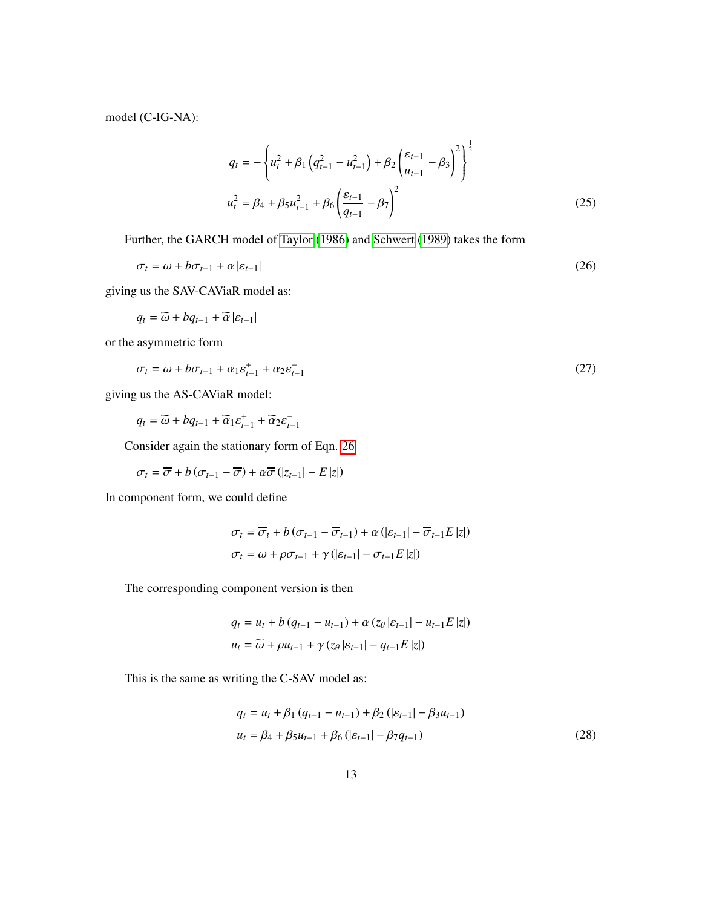model (C-IG-NA):

$$
q_{t} = -\left\{ u_{t}^{2} + \beta_{1} \left( q_{t-1}^{2} - u_{t-1}^{2} \right) + \beta_{2} \left( \frac{\varepsilon_{t-1}}{u_{t-1}} - \beta_{3} \right)^{2} \right\}^{\frac{1}{2}}
$$

$$
u_{t}^{2} = \beta_{4} + \beta_{5} u_{t-1}^{2} + \beta_{6} \left( \frac{\varepsilon_{t-1}}{q_{t-1}} - \beta_{7} \right)^{2}
$$
(25)

Further, the GARCH model of [Taylor \(1986\)](#page-24-9) and [Schwert \(1989\)](#page-24-10) takes the form

$$
\sigma_t = \omega + b\sigma_{t-1} + \alpha |\varepsilon_{t-1}| \tag{26}
$$

giving us the SAV-CAViaR model as:

 $q_t = \widetilde{\omega} + bq_{t-1} + \widetilde{\alpha} | \varepsilon_{t-1} |$ 

or the asymmetric form

$$
\sigma_t = \omega + b\sigma_{t-1} + \alpha_1 \varepsilon_{t-1}^+ + \alpha_2 \varepsilon_{t-1}^- \tag{27}
$$

giving us the AS-CAViaR model:

$$
q_t = \widetilde{\omega} + b q_{t-1} + \widetilde{\alpha}_1 \varepsilon_{t-1}^+ + \widetilde{\alpha}_2 \varepsilon_{t-1}^-
$$

<span id="page-13-0"></span>Consider again the stationary form of Eqn. [26](#page-12-0)

$$
\sigma_{t}=\overline{\sigma}+b\left(\sigma_{t-1}-\overline{\sigma}\right)+\alpha\overline{\sigma}\left(|z_{t-1}|-E\,|z|\right)
$$

In component form, we could define

<span id="page-13-3"></span>
$$
\sigma_{t} = \overline{\sigma}_{t} + b \left( \sigma_{t-1} - \overline{\sigma}_{t-1} \right) + \alpha \left( |\varepsilon_{t-1}| - \overline{\sigma}_{t-1} E | z| \right)
$$

$$
\overline{\sigma}_{t} = \omega + \rho \overline{\sigma}_{t-1} + \gamma \left( |\varepsilon_{t-1}| - \sigma_{t-1} E | z| \right)
$$

The corresponding component version is then

<span id="page-13-2"></span>
$$
q_{t} = u_{t} + b (q_{t-1} - u_{t-1}) + \alpha (z_{\theta} | \varepsilon_{t-1} | - u_{t-1} E | z|)
$$
  

$$
u_{t} = \widetilde{\omega} + \rho u_{t-1} + \gamma (z_{\theta} | \varepsilon_{t-1} | - q_{t-1} E | z|)
$$

This is the same as writing the C-SAV model as:

<span id="page-13-1"></span>
$$
q_{t} = u_{t} + \beta_{1} (q_{t-1} - u_{t-1}) + \beta_{2} (|\varepsilon_{t-1}| - \beta_{3} u_{t-1})
$$
  

$$
u_{t} = \beta_{4} + \beta_{5} u_{t-1} + \beta_{6} (|\varepsilon_{t-1}| - \beta_{7} q_{t-1})
$$
 (28)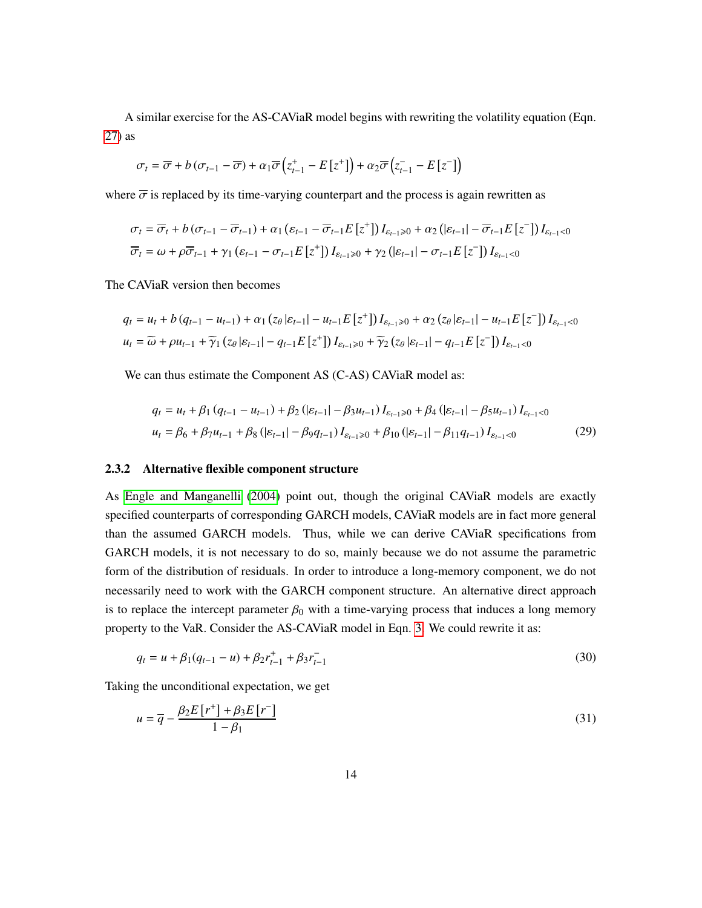A similar exercise for the AS-CAViaR model begins with rewriting the volatility equation (Eqn. [27\)](#page-12-1) as

$$
\sigma_{t} = \overline{\sigma} + b \left( \sigma_{t-1} - \overline{\sigma} \right) + \alpha_{1} \overline{\sigma} \left( z_{t-1}^{+} - E\left[ z^{+} \right] \right) + \alpha_{2} \overline{\sigma} \left( z_{t-1}^{-} - E\left[ z^{-} \right] \right)
$$

where  $\overline{\sigma}$  is replaced by its time-varying counterpart and the process is again rewritten as

$$
\sigma_{t} = \overline{\sigma}_{t} + b(\sigma_{t-1} - \overline{\sigma}_{t-1}) + \alpha_{1} (\varepsilon_{t-1} - \overline{\sigma}_{t-1} E[z^{+}]) I_{\varepsilon_{t-1} \geq 0} + \alpha_{2} (|\varepsilon_{t-1}| - \overline{\sigma}_{t-1} E[z^{-}]) I_{\varepsilon_{t-1} < 0}
$$
  

$$
\overline{\sigma}_{t} = \omega + \rho \overline{\sigma}_{t-1} + \gamma_{1} (\varepsilon_{t-1} - \sigma_{t-1} E[z^{+}]) I_{\varepsilon_{t-1} \geq 0} + \gamma_{2} (|\varepsilon_{t-1}| - \sigma_{t-1} E[z^{-}]) I_{\varepsilon_{t-1} < 0}
$$

The CAViaR version then becomes

$$
q_{t} = u_{t} + b (q_{t-1} - u_{t-1}) + \alpha_{1} (z_{\theta} | \varepsilon_{t-1}| - u_{t-1} E[z^{+}]) I_{\varepsilon_{t-1} \geq 0} + \alpha_{2} (z_{\theta} | \varepsilon_{t-1}| - u_{t-1} E[z^{-}]) I_{\varepsilon_{t-1} < 0}
$$
  

$$
u_{t} = \widetilde{\omega} + \rho u_{t-1} + \widetilde{\gamma}_{1} (z_{\theta} | \varepsilon_{t-1}| - q_{t-1} E[z^{+}]) I_{\varepsilon_{t-1} \geq 0} + \widetilde{\gamma}_{2} (z_{\theta} | \varepsilon_{t-1}| - q_{t-1} E[z^{-}]) I_{\varepsilon_{t-1} < 0}
$$

We can thus estimate the Component AS (C-AS) CAViaR model as:

<span id="page-14-1"></span>
$$
q_{t} = u_{t} + \beta_{1} (q_{t-1} - u_{t-1}) + \beta_{2} (|\varepsilon_{t-1}| - \beta_{3} u_{t-1}) I_{\varepsilon_{t-1} \geq 0} + \beta_{4} (|\varepsilon_{t-1}| - \beta_{5} u_{t-1}) I_{\varepsilon_{t-1} < 0}
$$
  

$$
u_{t} = \beta_{6} + \beta_{7} u_{t-1} + \beta_{8} (|\varepsilon_{t-1}| - \beta_{9} q_{t-1}) I_{\varepsilon_{t-1} \geq 0} + \beta_{10} (|\varepsilon_{t-1}| - \beta_{11} q_{t-1}) I_{\varepsilon_{t-1} < 0}
$$
 (29)

#### 2.3.2 Alternative flexible component structure

As [Engle and Manganelli \(2004\)](#page-23-1) point out, though the original CAViaR models are exactly specified counterparts of corresponding GARCH models, CAViaR models are in fact more general than the assumed GARCH models. Thus, while we can derive CAViaR specifications from GARCH models, it is not necessary to do so, mainly because we do not assume the parametric form of the distribution of residuals. In order to introduce a long-memory component, we do not necessarily need to work with the GARCH component structure. An alternative direct approach is to replace the intercept parameter  $\beta_0$  with a time-varying process that induces a long memory property to the VaR. Consider the AS-CAViaR model in Eqn. [3.](#page-5-2) We could rewrite it as:

<span id="page-14-0"></span>
$$
q_t = u + \beta_1(q_{t-1} - u) + \beta_2 r_{t-1}^+ + \beta_3 r_{t-1}^- \tag{30}
$$

Taking the unconditional expectation, we get

$$
u = \overline{q} - \frac{\beta_2 E[r^+] + \beta_3 E[r^-]}{1 - \beta_1} \tag{31}
$$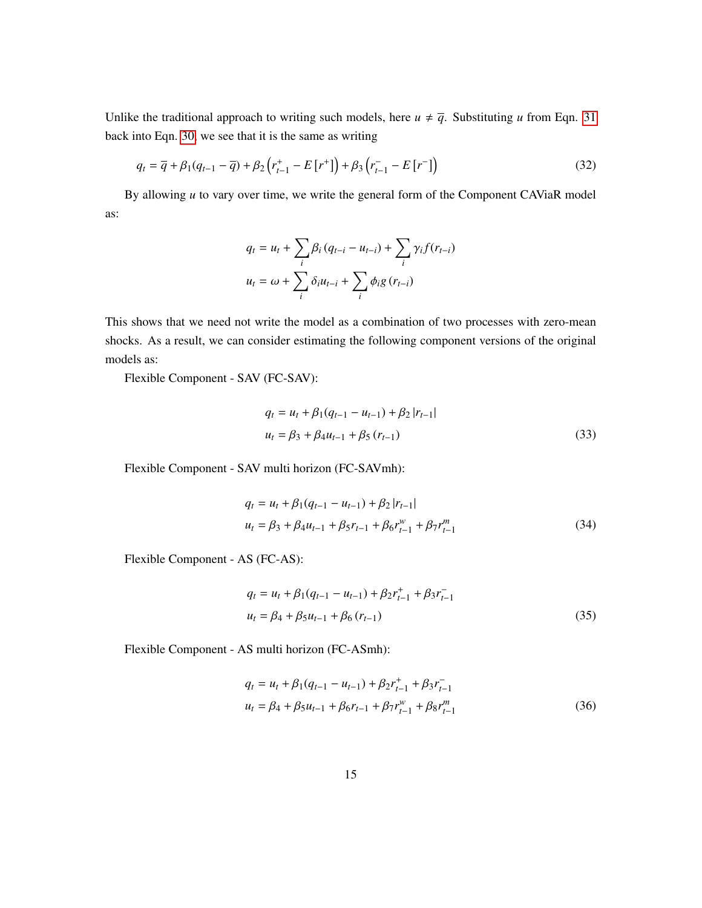Unlike the traditional approach to writing such models, here  $u \neq \overline{q}$ . Substituting *u* from Eqn. [31](#page-13-1) back into Eqn. [30,](#page-13-2) we see that it is the same as writing

$$
q_{t} = \overline{q} + \beta_{1}(q_{t-1} - \overline{q}) + \beta_{2}\left(r_{t-1}^{+} - E[r^{+}]\right) + \beta_{3}\left(r_{t-1}^{-} - E[r^{-}]\right)
$$
\n(32)

By allowing *u* to vary over time, we write the general form of the Component CAViaR model as:

<span id="page-15-0"></span>
$$
q_{t} = u_{t} + \sum_{i} \beta_{i} (q_{t-i} - u_{t-i}) + \sum_{i} \gamma_{i} f(r_{t-i})
$$

$$
u_{t} = \omega + \sum_{i} \delta_{i} u_{t-i} + \sum_{i} \phi_{i} g(r_{t-i})
$$

This shows that we need not write the model as a combination of two processes with zero-mean shocks. As a result, we can consider estimating the following component versions of the original models as:

Flexible Component - SAV (FC-SAV):

$$
q_{t} = u_{t} + \beta_{1}(q_{t-1} - u_{t-1}) + \beta_{2} |r_{t-1}|
$$
  

$$
u_{t} = \beta_{3} + \beta_{4}u_{t-1} + \beta_{5} (r_{t-1})
$$
 (33)

Flexible Component - SAV multi horizon (FC-SAVmh):

$$
q_t = u_t + \beta_1(q_{t-1} - u_{t-1}) + \beta_2 |r_{t-1}|
$$
  

$$
u_t = \beta_3 + \beta_4 u_{t-1} + \beta_5 r_{t-1} + \beta_6 r_{t-1}^w + \beta_7 r_{t-1}^m
$$
 (34)

Flexible Component - AS (FC-AS):

$$
q_t = u_t + \beta_1(q_{t-1} - u_{t-1}) + \beta_2 r_{t-1}^+ + \beta_3 r_{t-1}^-
$$
  

$$
u_t = \beta_4 + \beta_5 u_{t-1} + \beta_6 (r_{t-1})
$$
 (35)

Flexible Component - AS multi horizon (FC-ASmh):

$$
q_{t} = u_{t} + \beta_{1}(q_{t-1} - u_{t-1}) + \beta_{2}r_{t-1}^{+} + \beta_{3}r_{t-1}^{-}
$$
  

$$
u_{t} = \beta_{4} + \beta_{5}u_{t-1} + \beta_{6}r_{t-1} + \beta_{7}r_{t-1}^{w} + \beta_{8}r_{t-1}^{m}
$$
 (36)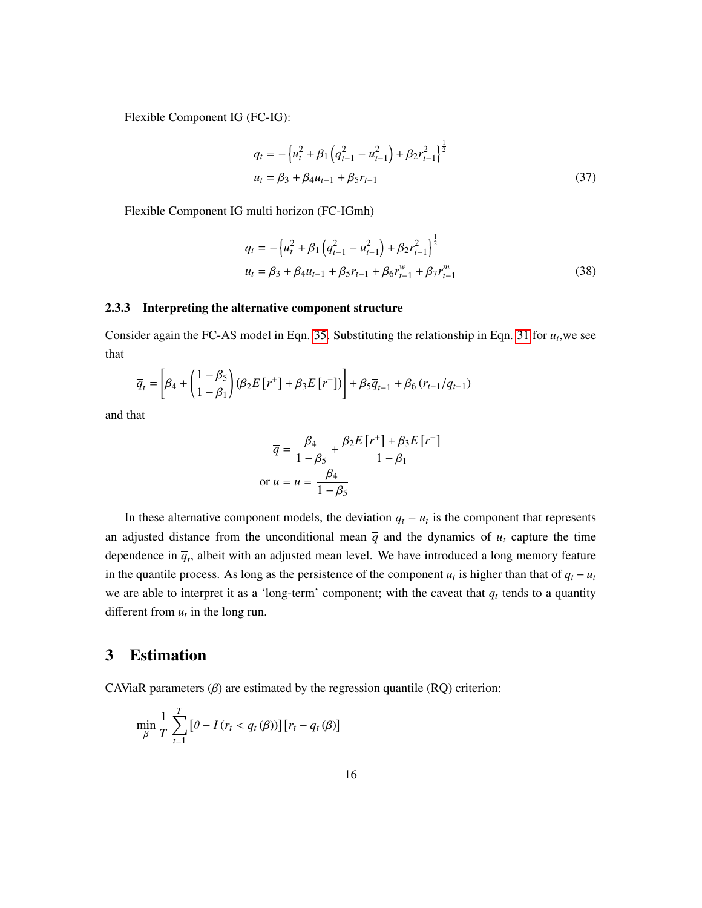Flexible Component IG (FC-IG):

$$
q_t = -\left\{u_t^2 + \beta_1 \left(q_{t-1}^2 - u_{t-1}^2\right) + \beta_2 r_{t-1}^2\right\}^{\frac{1}{2}}
$$
  

$$
u_t = \beta_3 + \beta_4 u_{t-1} + \beta_5 r_{t-1}
$$
 (37)

Flexible Component IG multi horizon (FC-IGmh)

$$
q_{t} = -\left\{ u_{t}^{2} + \beta_{1} \left( q_{t-1}^{2} - u_{t-1}^{2} \right) + \beta_{2} r_{t-1}^{2} \right\}^{\frac{1}{2}}
$$
  

$$
u_{t} = \beta_{3} + \beta_{4} u_{t-1} + \beta_{5} r_{t-1} + \beta_{6} r_{t-1}^{w} + \beta_{7} r_{t-1}^{m}
$$
(38)

#### 2.3.3 Interpreting the alternative component structure

Consider again the FC-AS model in Eqn. [35.](#page-14-0) Substituting the relationship in Eqn. [31](#page-13-1) for  $u_t$ , we see that

$$
\overline{q}_{t} = \left[\beta_{4} + \left(\frac{1-\beta_{5}}{1-\beta_{1}}\right)\left(\beta_{2}E[r^{+}] + \beta_{3}E[r^{-}]\right)\right] + \beta_{5}\overline{q}_{t-1} + \beta_{6}\left(r_{t-1}/q_{t-1}\right)
$$

and that

$$
\overline{q} = \frac{\beta_4}{1 - \beta_5} + \frac{\beta_2 E[r^+] + \beta_3 E[r^-]}{1 - \beta_1}
$$
  
or  $\overline{u} = u = \frac{\beta_4}{1 - \beta_5}$ 

In these alternative component models, the deviation  $q_t - u_t$  is the component that represents an adjusted distance from the unconditional mean  $\overline{q}$  and the dynamics of  $u_t$  capture the time dependence in  $\overline{q}_t$ , albeit with an adjusted mean level. We have introduced a long memory feature in the quantile process. As long as the persistence of the component  $u_t$  is higher than that of  $q_t - u_t$ we are able to interpret it as a 'long-term' component; with the caveat that  $q_t$  tends to a quantity different from  $u_t$  in the long run.

## 3 Estimation

CAViaR parameters  $(\beta)$  are estimated by the regression quantile  $(RQ)$  criterion:

$$
\min_{\beta} \frac{1}{T} \sum_{t=1}^{T} \left[ \theta - I \left( r_t < q_t \left( \beta \right) \right) \right] \left[ r_t - q_t \left( \beta \right) \right]
$$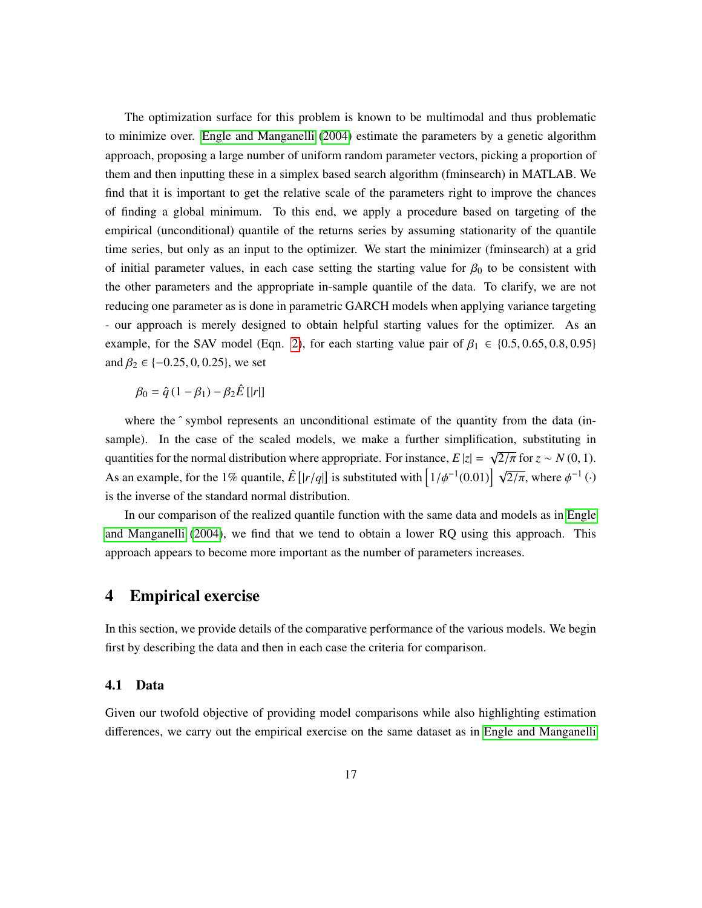The optimization surface for this problem is known to be multimodal and thus problematic to minimize over. [Engle and Manganelli](#page-23-1) [\(2004\)](#page-23-1) estimate the parameters by a genetic algorithm approach, proposing a large number of uniform random parameter vectors, picking a proportion of them and then inputting these in a simplex based search algorithm (fminsearch) in MATLAB. We find that it is important to get the relative scale of the parameters right to improve the chances of finding a global minimum. To this end, we apply a procedure based on targeting of the empirical (unconditional) quantile of the returns series by assuming stationarity of the quantile time series, but only as an input to the optimizer. We start the minimizer (fminsearch) at a grid of initial parameter values, in each case setting the starting value for  $\beta_0$  to be consistent with the other parameters and the appropriate in-sample quantile of the data. To clarify, we are not reducing one parameter as is done in parametric GARCH models when applying variance targeting - our approach is merely designed to obtain helpful starting values for the optimizer. As an example, for the SAV model (Eqn. [2\)](#page-5-0), for each starting value pair of  $\beta_1 \in \{0.5, 0.65, 0.8, 0.95\}$ and  $\beta_2 \in \{-0.25, 0, 0.25\}$ , we set

 $\beta_0 = \hat{q}(1-\beta_1) - \beta_2 \hat{E} [r]$ 

where the  $\hat{ }$  symbol represents an unconditional estimate of the quantity from the data (insample). In the case of the scaled models, we make a further simplification, substituting in quantities for the normal distribution where appropriate. For instance,  $E |z| = \sqrt{\frac{2}{\pi}}$  for  $z \sim N(0, 1)$ . As an example, for the 1% quantile,  $\hat{E} [r/q]$  is substituted with  $\left[1/\phi^{-1}(0.01)\right] \sqrt{2/\pi}$ , where  $\phi^{-1}(\cdot)$ is the inverse of the standard normal distribution.

In our comparison of the realized quantile function with the same data and models as in [Engle](#page-23-1) [and Manganelli \(2004\)](#page-23-1), we find that we tend to obtain a lower RQ using this approach. This approach appears to become more important as the number of parameters increases.

## 4 Empirical exercise

In this section, we provide details of the comparative performance of the various models. We begin first by describing the data and then in each case the criteria for comparison.

#### 4.1 Data

Given our twofold objective of providing model comparisons while also highlighting estimation differences, we carry out the empirical exercise on the same dataset as in [Engle and Manganelli](#page-23-1)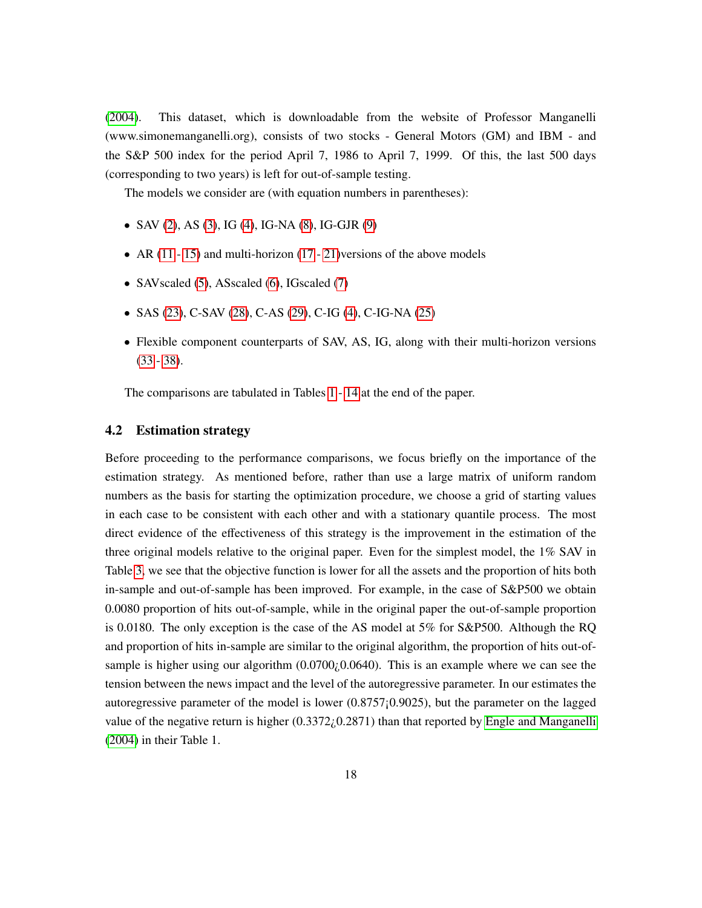[\(2004\)](#page-23-1). This dataset, which is downloadable from the website of Professor Manganelli (www.simonemanganelli.org), consists of two stocks - General Motors (GM) and IBM - and the S&P 500 index for the period April 7, 1986 to April 7, 1999. Of this, the last 500 days (corresponding to two years) is left for out-of-sample testing.

The models we consider are (with equation numbers in parentheses):

- SAV [\(2\)](#page-5-0), AS [\(3\)](#page-5-2), IG [\(4\)](#page-5-1), IG-NA [\(8\)](#page-6-1), IG-GJR [\(9\)](#page-6-0)
- AR [\(11](#page-7-1) - [15\)](#page-7-0) and multi-horizon [\(17](#page-9-1) - [21\)](#page-9-2) versions of the above models
- SAV scaled [\(5\)](#page-6-2), AS scaled [\(6\)](#page-6-3), IG scaled [\(7\)](#page-6-4)
- SAS [\(23\)](#page-10-1), C-SAV [\(28\)](#page-12-2), C-AS [\(29\)](#page-13-3), C-IG [\(4\)](#page-5-1), C-IG-NA [\(25\)](#page-12-3)
- Flexible component counterparts of SAV, AS, IG, along with their multi-horizon versions [\(33](#page-14-1) - [38\)](#page-15-0).

The comparisons are tabulated in Tables [1](#page-25-0) - [14](#page-38-0) at the end of the paper.

#### 4.2 Estimation strategy

Before proceeding to the performance comparisons, we focus briefly on the importance of the estimation strategy. As mentioned before, rather than use a large matrix of uniform random numbers as the basis for starting the optimization procedure, we choose a grid of starting values in each case to be consistent with each other and with a stationary quantile process. The most direct evidence of the effectiveness of this strategy is the improvement in the estimation of the three original models relative to the original paper. Even for the simplest model, the 1% SAV in Table [3,](#page-27-0) we see that the objective function is lower for all the assets and the proportion of hits both in-sample and out-of-sample has been improved. For example, in the case of S&P500 we obtain 0.0080 proportion of hits out-of-sample, while in the original paper the out-of-sample proportion is 0.0180. The only exception is the case of the AS model at 5% for S&P500. Although the RQ and proportion of hits in-sample are similar to the original algorithm, the proportion of hits out-ofsample is higher using our algorithm  $(0.0700)(0.0640)$ . This is an example where we can see the tension between the news impact and the level of the autoregressive parameter. In our estimates the autoregressive parameter of the model is lower (0.8757¡0.9025), but the parameter on the lagged value of the negative return is higher  $(0.3372/0.2871)$  than that reported by [Engle and Manganelli](#page-23-1) [\(2004\)](#page-23-1) in their Table 1.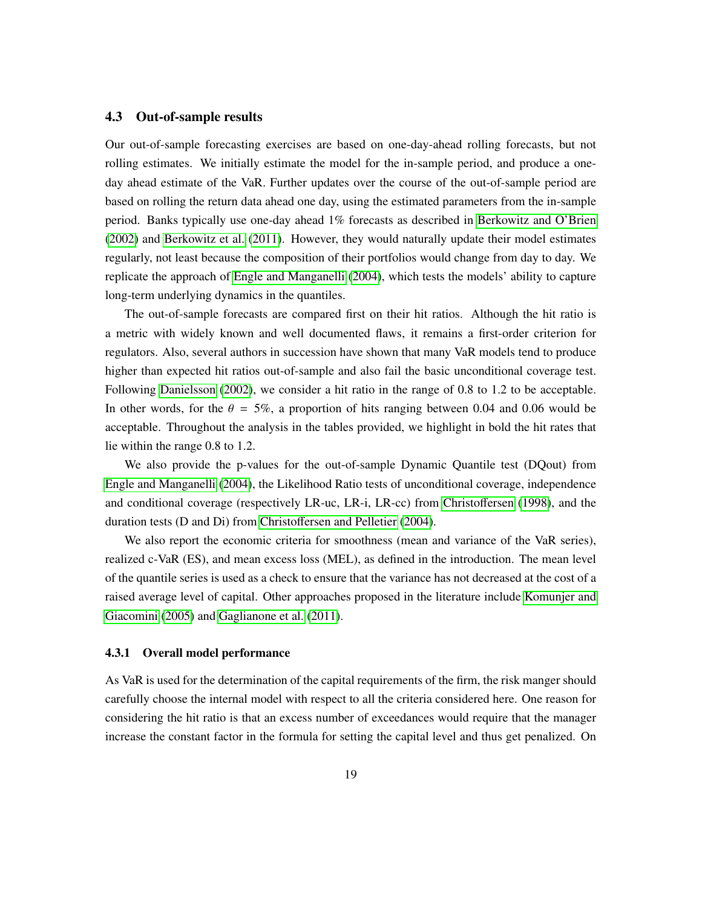#### 4.3 Out-of-sample results

Our out-of-sample forecasting exercises are based on one-day-ahead rolling forecasts, but not rolling estimates. We initially estimate the model for the in-sample period, and produce a oneday ahead estimate of the VaR. Further updates over the course of the out-of-sample period are based on rolling the return data ahead one day, using the estimated parameters from the in-sample period. Banks typically use one-day ahead 1% forecasts as described in [Berkowitz and O'Brien](#page-22-12) [\(2002\)](#page-22-12) and [Berkowitz et al. \(2011\)](#page-22-4). However, they would naturally update their model estimates regularly, not least because the composition of their portfolios would change from day to day. We replicate the approach of [Engle and Manganelli](#page-23-1) [\(2004\)](#page-23-1), which tests the models' ability to capture long-term underlying dynamics in the quantiles.

The out-of-sample forecasts are compared first on their hit ratios. Although the hit ratio is a metric with widely known and well documented flaws, it remains a first-order criterion for regulators. Also, several authors in succession have shown that many VaR models tend to produce higher than expected hit ratios out-of-sample and also fail the basic unconditional coverage test. Following [Danielsson \(2002\)](#page-23-6), we consider a hit ratio in the range of 0.8 to 1.2 to be acceptable. In other words, for the  $\theta = 5\%$ , a proportion of hits ranging between 0.04 and 0.06 would be acceptable. Throughout the analysis in the tables provided, we highlight in bold the hit rates that lie within the range 0.8 to 1.2.

We also provide the p-values for the out-of-sample Dynamic Quantile test (DQout) from [Engle and Manganelli](#page-23-1) [\(2004\)](#page-23-1), the Likelihood Ratio tests of unconditional coverage, independence and conditional coverage (respectively LR-uc, LR-i, LR-cc) from [Christo](#page-22-2)ffersen [\(1998\)](#page-22-2), and the duration tests (D and Di) from Christoff[ersen and Pelletier](#page-22-3) [\(2004\)](#page-22-3).

We also report the economic criteria for smoothness (mean and variance of the VaR series), realized c-VaR (ES), and mean excess loss (MEL), as defined in the introduction. The mean level of the quantile series is used as a check to ensure that the variance has not decreased at the cost of a raised average level of capital. Other approaches proposed in the literature include [Komunjer and](#page-24-11) [Giacomini \(2005\)](#page-24-11) and [Gaglianone et al. \(2011\)](#page-23-11).

#### 4.3.1 Overall model performance

As VaR is used for the determination of the capital requirements of the firm, the risk manger should carefully choose the internal model with respect to all the criteria considered here. One reason for considering the hit ratio is that an excess number of exceedances would require that the manager increase the constant factor in the formula for setting the capital level and thus get penalized. On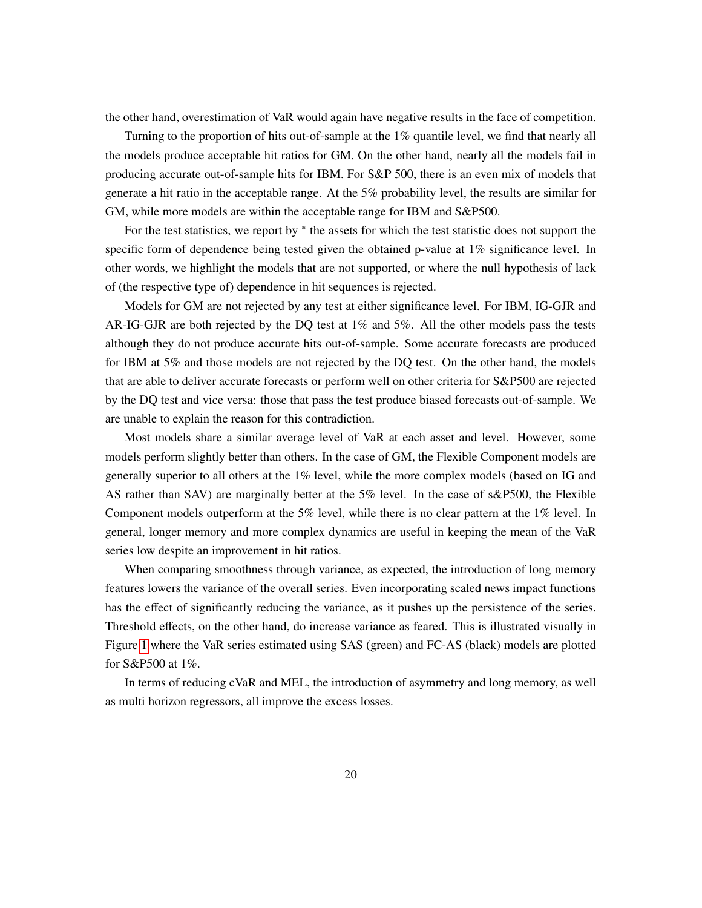the other hand, overestimation of VaR would again have negative results in the face of competition.

Turning to the proportion of hits out-of-sample at the 1% quantile level, we find that nearly all the models produce acceptable hit ratios for GM. On the other hand, nearly all the models fail in producing accurate out-of-sample hits for IBM. For S&P 500, there is an even mix of models that generate a hit ratio in the acceptable range. At the 5% probability level, the results are similar for GM, while more models are within the acceptable range for IBM and S&P500.

For the test statistics, we report by  $*$  the assets for which the test statistic does not support the specific form of dependence being tested given the obtained p-value at 1% significance level. In other words, we highlight the models that are not supported, or where the null hypothesis of lack of (the respective type of) dependence in hit sequences is rejected.

Models for GM are not rejected by any test at either significance level. For IBM, IG-GJR and AR-IG-GJR are both rejected by the DQ test at  $1\%$  and  $5\%$ . All the other models pass the tests although they do not produce accurate hits out-of-sample. Some accurate forecasts are produced for IBM at 5% and those models are not rejected by the DQ test. On the other hand, the models that are able to deliver accurate forecasts or perform well on other criteria for S&P500 are rejected by the DQ test and vice versa: those that pass the test produce biased forecasts out-of-sample. We are unable to explain the reason for this contradiction.

Most models share a similar average level of VaR at each asset and level. However, some models perform slightly better than others. In the case of GM, the Flexible Component models are generally superior to all others at the 1% level, while the more complex models (based on IG and AS rather than SAV) are marginally better at the 5% level. In the case of s&P500, the Flexible Component models outperform at the 5% level, while there is no clear pattern at the 1% level. In general, longer memory and more complex dynamics are useful in keeping the mean of the VaR series low despite an improvement in hit ratios.

When comparing smoothness through variance, as expected, the introduction of long memory features lowers the variance of the overall series. Even incorporating scaled news impact functions has the effect of significantly reducing the variance, as it pushes up the persistence of the series. Threshold effects, on the other hand, do increase variance as feared. This is illustrated visually in Figure [1](#page-39-0) where the VaR series estimated using SAS (green) and FC-AS (black) models are plotted for S&P500 at 1%.

In terms of reducing cVaR and MEL, the introduction of asymmetry and long memory, as well as multi horizon regressors, all improve the excess losses.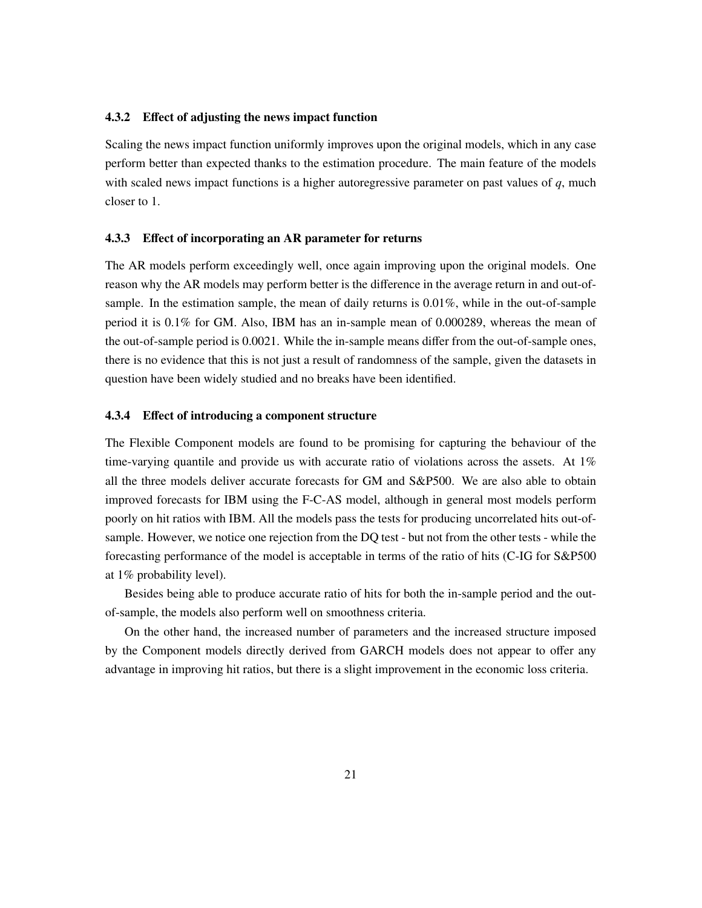#### 4.3.2 Effect of adjusting the news impact function

Scaling the news impact function uniformly improves upon the original models, which in any case perform better than expected thanks to the estimation procedure. The main feature of the models with scaled news impact functions is a higher autoregressive parameter on past values of *q*, much closer to 1.

#### 4.3.3 Effect of incorporating an AR parameter for returns

The AR models perform exceedingly well, once again improving upon the original models. One reason why the AR models may perform better is the difference in the average return in and out-ofsample. In the estimation sample, the mean of daily returns is 0.01%, while in the out-of-sample period it is 0.1% for GM. Also, IBM has an in-sample mean of 0.000289, whereas the mean of the out-of-sample period is 0.0021. While the in-sample means differ from the out-of-sample ones, there is no evidence that this is not just a result of randomness of the sample, given the datasets in question have been widely studied and no breaks have been identified.

#### 4.3.4 Effect of introducing a component structure

The Flexible Component models are found to be promising for capturing the behaviour of the time-varying quantile and provide us with accurate ratio of violations across the assets. At  $1\%$ all the three models deliver accurate forecasts for GM and S&P500. We are also able to obtain improved forecasts for IBM using the F-C-AS model, although in general most models perform poorly on hit ratios with IBM. All the models pass the tests for producing uncorrelated hits out-ofsample. However, we notice one rejection from the DQ test - but not from the other tests - while the forecasting performance of the model is acceptable in terms of the ratio of hits (C-IG for S&P500 at 1% probability level).

Besides being able to produce accurate ratio of hits for both the in-sample period and the outof-sample, the models also perform well on smoothness criteria.

On the other hand, the increased number of parameters and the increased structure imposed by the Component models directly derived from GARCH models does not appear to offer any advantage in improving hit ratios, but there is a slight improvement in the economic loss criteria.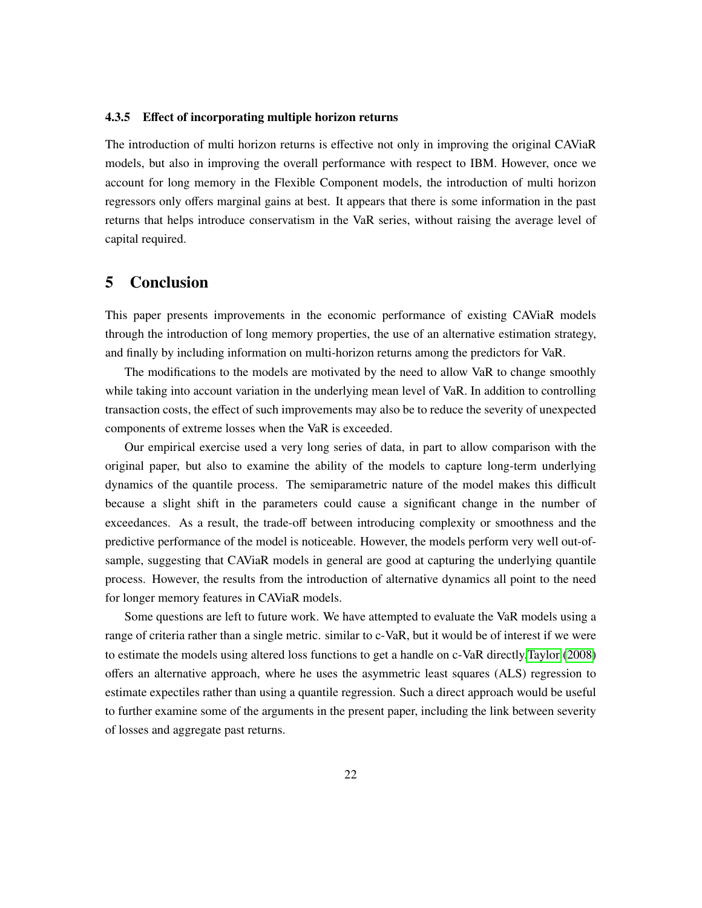#### 4.3.5 Effect of incorporating multiple horizon returns

<span id="page-22-8"></span><span id="page-22-5"></span>The introduction of multi horizon returns is effective not only in improving the original CAViaR models, but also in improving the overall performance with respect to IBM. However, once we account for long memory in the Flexible Component models, the introduction of multi horizon regressors only offers marginal gains at best. It appears that there is some information in the past returns that helps introduce conservatism in the VaR series, without raising the average level of capital required.

## <span id="page-22-12"></span><span id="page-22-4"></span>5 Conclusion

<span id="page-22-7"></span>This paper presents improvements in the economic performance of existing CAViaR models through the introduction of long memory properties, the use of an alternative estimation strategy, and finally by including information on multi-horizon returns among the predictors for VaR.

<span id="page-22-11"></span>The modifications to the models are motivated by the need to allow VaR to change smoothly while taking into account variation in the underlying mean level of VaR. In addition to controlling transaction costs, the effect of such improvements may also be to reduce the severity of unexpected components of extreme losses when the VaR is exceeded.

<span id="page-22-6"></span><span id="page-22-2"></span><span id="page-22-0"></span>Our empirical exercise used a very long series of data, in part to allow comparison with the original paper, but also to examine the ability of the models to capture long-term underlying dynamics of the quantile process. The semiparametric nature of the model makes this difficult because a slight shift in the parameters could cause a significant change in the number of exceedances. As a result, the trade-off between introducing complexity or smoothness and the predictive performance of the model is noticeable. However, the models perform very well out-ofsample, suggesting that CAViaR models in general are good at capturing the underlying quantile process. However, the results from the introduction of alternative dynamics all point to the need for longer memory features in CAViaR models.

<span id="page-22-10"></span><span id="page-22-9"></span><span id="page-22-3"></span><span id="page-22-1"></span>Some questions are left to future work. We have attempted to evaluate the VaR models using a range of criteria rather than a single metric. similar to c-VaR, but it would be of interest if we were to estimate the models using altered loss functions to get a handle on c-VaR directly[.Taylor](#page-24-12) [\(2008\)](#page-24-12) offers an alternative approach, where he uses the asymmetric least squares (ALS) regression to estimate expectiles rather than using a quantile regression. Such a direct approach would be useful to further examine some of the arguments in the present paper, including the link between severity of losses and aggregate past returns.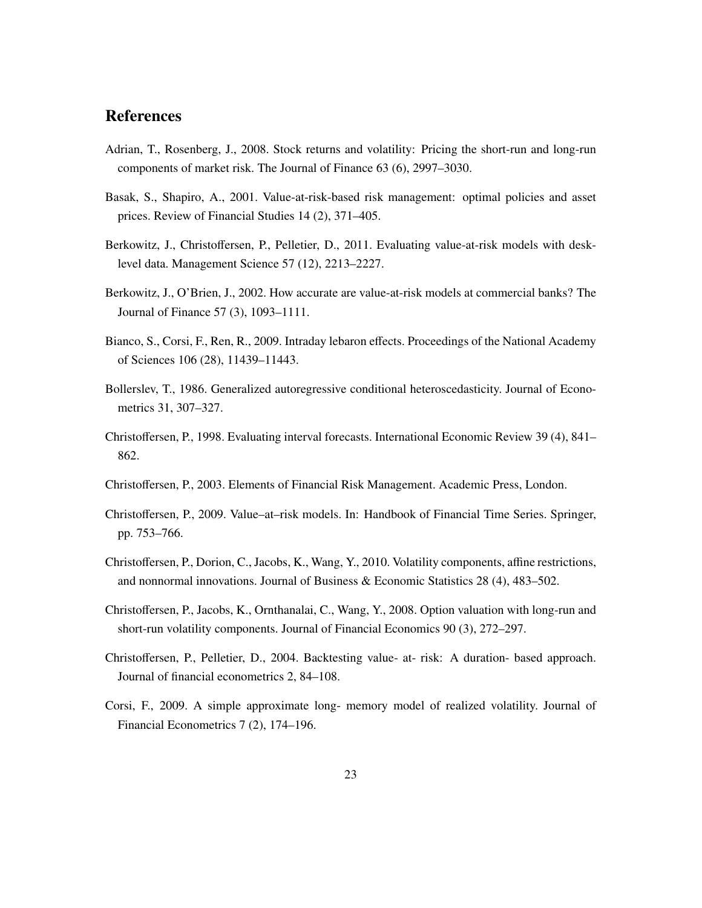# <span id="page-23-6"></span>**References**

- <span id="page-23-5"></span>Adrian, T., Rosenberg, J., 2008. Stock returns and volatility: Pricing the short-run and long-run components of market risk. The Journal of Finance 63 (6), 2997–3030.
- Basak, S., Shapiro, A., 2001. Value-at-risk-based risk management: optimal policies and asset prices. Review of Financial Studies 14 (2), 371–405.
- <span id="page-23-10"></span>Berkowitz, J., Christoffersen, P., Pelletier, D., 2011. Evaluating value-at-risk models with desklevel data. Management Science 57 (12), 2213–2227.
- <span id="page-23-9"></span>Berkowitz, J., O'Brien, J., 2002. How accurate are value-at-risk models at commercial banks? The Journal of Finance 57 (3), 1093–1111.
- <span id="page-23-0"></span>Bianco, S., Corsi, F., Ren, R., 2009. Intraday lebaron effects. Proceedings of the National Academy of Sciences 106 (28), 11439–11443.
- <span id="page-23-4"></span>Bollerslev, T., 1986. Generalized autoregressive conditional heteroscedasticity. Journal of Econometrics 31, 307–327.
- <span id="page-23-1"></span>Christoffersen, P., 1998. Evaluating interval forecasts. International Economic Review 39 (4), 841– 862.
- <span id="page-23-2"></span>Christoffersen, P., 2003. Elements of Financial Risk Management. Academic Press, London.
- <span id="page-23-11"></span>Christoffersen, P., 2009. Value–at–risk models. In: Handbook of Financial Time Series. Springer, pp. 753–766.
- <span id="page-23-3"></span>Christoffersen, P., Dorion, C., Jacobs, K., Wang, Y., 2010. Volatility components, affine restrictions, and nonnormal innovations. Journal of Business & Economic Statistics 28 (4), 483–502.
- <span id="page-23-7"></span>Christoffersen, P., Jacobs, K., Ornthanalai, C., Wang, Y., 2008. Option valuation with long-run and short-run volatility components. Journal of Financial Economics 90 (3), 272–297.
- Christoffersen, P., Pelletier, D., 2004. Backtesting value- at- risk: A duration- based approach. Journal of financial econometrics 2, 84–108.
- <span id="page-23-8"></span>Corsi, F., 2009. A simple approximate long- memory model of realized volatility. Journal of Financial Econometrics 7 (2), 174–196.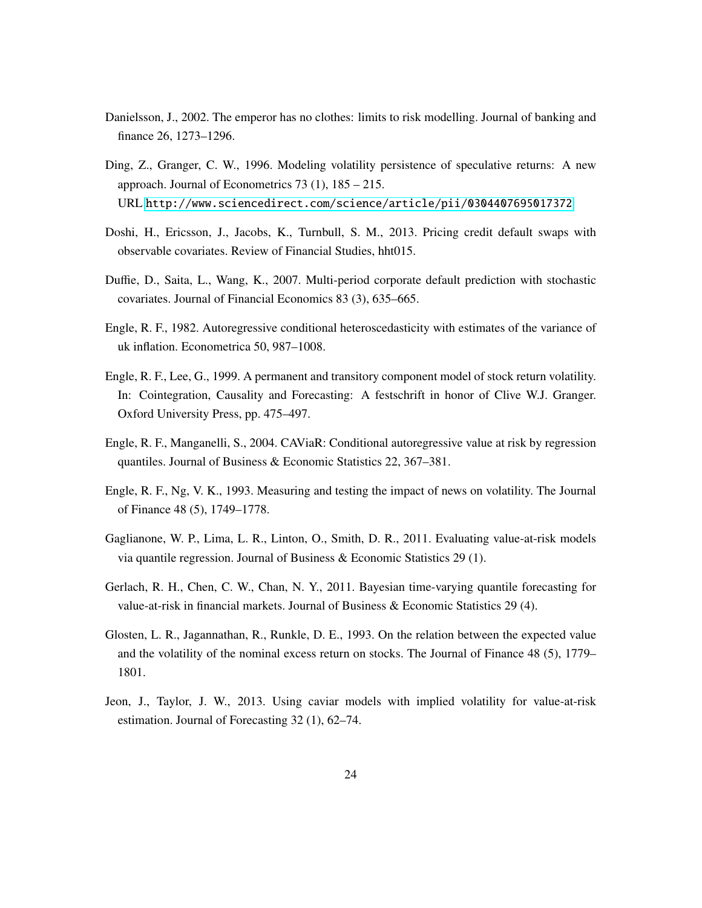- <span id="page-24-11"></span>Danielsson, J., 2002. The emperor has no clothes: limits to risk modelling. Journal of banking and finance 26, 1273–1296.
- <span id="page-24-0"></span>Ding, Z., Granger, C. W., 1996. Modeling volatility persistence of speculative returns: A new approach. Journal of Econometrics 73 (1), 185 – 215. URL <http://www.sciencedirect.com/science/article/pii/0304407695017372>
- <span id="page-24-2"></span><span id="page-24-1"></span>Doshi, H., Ericsson, J., Jacobs, K., Turnbull, S. M., 2013. Pricing credit default swaps with observable covariates. Review of Financial Studies, hht015.
- <span id="page-24-4"></span>Duffie, D., Saita, L., Wang, K., 2007. Multi-period corporate default prediction with stochastic covariates. Journal of Financial Economics 83 (3), 635–665.
- <span id="page-24-8"></span>Engle, R. F., 1982. Autoregressive conditional heteroscedasticity with estimates of the variance of uk inflation. Econometrica 50, 987–1008.
- <span id="page-24-5"></span>Engle, R. F., Lee, G., 1999. A permanent and transitory component model of stock return volatility. In: Cointegration, Causality and Forecasting: A festschrift in honor of Clive W.J. Granger. Oxford University Press, pp. 475–497.
- <span id="page-24-3"></span>Engle, R. F., Manganelli, S., 2004. CAViaR: Conditional autoregressive value at risk by regression quantiles. Journal of Business & Economic Statistics 22, 367–381.
- <span id="page-24-6"></span>Engle, R. F., Ng, V. K., 1993. Measuring and testing the impact of news on volatility. The Journal of Finance 48 (5), 1749–1778.
- <span id="page-24-10"></span>Gaglianone, W. P., Lima, L. R., Linton, O., Smith, D. R., 2011. Evaluating value-at-risk models via quantile regression. Journal of Business & Economic Statistics 29 (1).
- <span id="page-24-12"></span>Gerlach, R. H., Chen, C. W., Chan, N. Y., 2011. Bayesian time-varying quantile forecasting for value-at-risk in financial markets. Journal of Business & Economic Statistics 29 (4).
- <span id="page-24-9"></span><span id="page-24-7"></span>Glosten, L. R., Jagannathan, R., Runkle, D. E., 1993. On the relation between the expected value and the volatility of the nominal excess return on stocks. The Journal of Finance 48 (5), 1779– 1801.
- Jeon, J., Taylor, J. W., 2013. Using caviar models with implied volatility for value-at-risk estimation. Journal of Forecasting 32 (1), 62–74.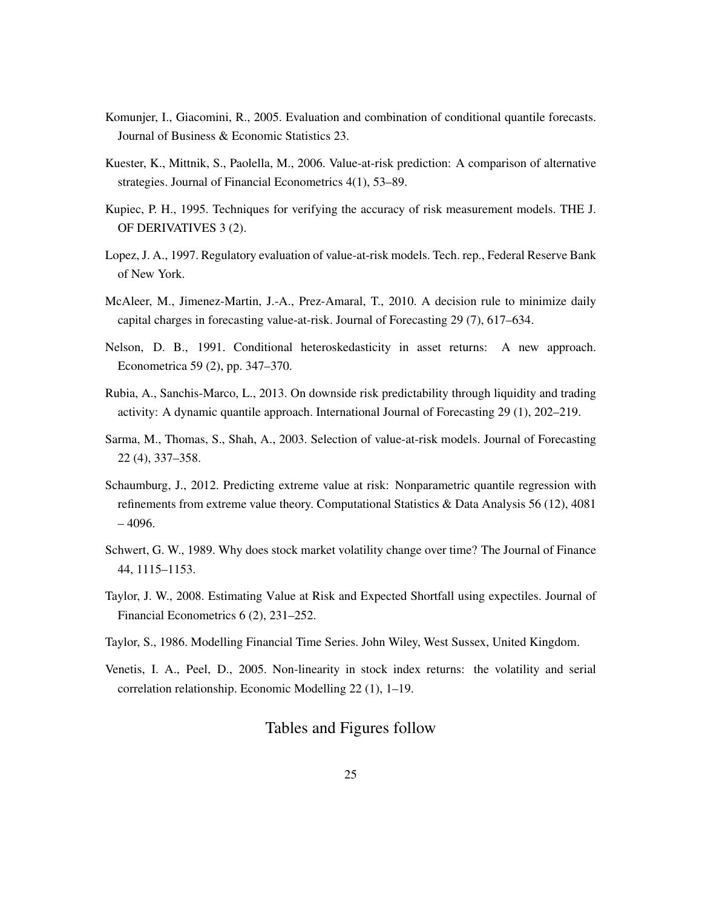- <span id="page-25-0"></span>Komunjer, I., Giacomini, R., 2005. Evaluation and combination of conditional quantile forecasts. Journal of Business & Economic Statistics 23.
- Kuester, K., Mittnik, S., Paolella, M., 2006. Value-at-risk prediction: A comparison of alternative strategies. Journal of Financial Econometrics 4(1), 53–89.
- Kupiec, P. H., 1995. Techniques for verifying the accuracy of risk measurement models. THE J. OF DERIVATIVES 3 (2).
- Lopez, J. A., 1997. Regulatory evaluation of value-at-risk models. Tech. rep., Federal Reserve Bank of New York.
- McAleer, M., Jimenez-Martin, J.-A., Prez-Amaral, T., 2010. A decision rule to minimize daily capital charges in forecasting value-at-risk. Journal of Forecasting 29 (7), 617–634.
- Nelson, D. B., 1991. Conditional heteroskedasticity in asset returns: A new approach. Econometrica 59 (2), pp. 347–370.
- Rubia, A., Sanchis-Marco, L., 2013. On downside risk predictability through liquidity and trading activity: A dynamic quantile approach. International Journal of Forecasting 29 (1), 202–219.
- Sarma, M., Thomas, S., Shah, A., 2003. Selection of value-at-risk models. Journal of Forecasting 22 (4), 337–358.
- Schaumburg, J., 2012. Predicting extreme value at risk: Nonparametric quantile regression with refinements from extreme value theory. Computational Statistics & Data Analysis 56 (12), 4081 – 4096.
- Schwert, G. W., 1989. Why does stock market volatility change over time? The Journal of Finance 44, 1115–1153.
- Taylor, J. W., 2008. Estimating Value at Risk and Expected Shortfall using expectiles. Journal of Financial Econometrics 6 (2), 231–252.
- Taylor, S., 1986. Modelling Financial Time Series. John Wiley, West Sussex, United Kingdom.
- Venetis, I. A., Peel, D., 2005. Non-linearity in stock index returns: the volatility and serial correlation relationship. Economic Modelling 22 (1), 1–19.

## Tables and Figures follow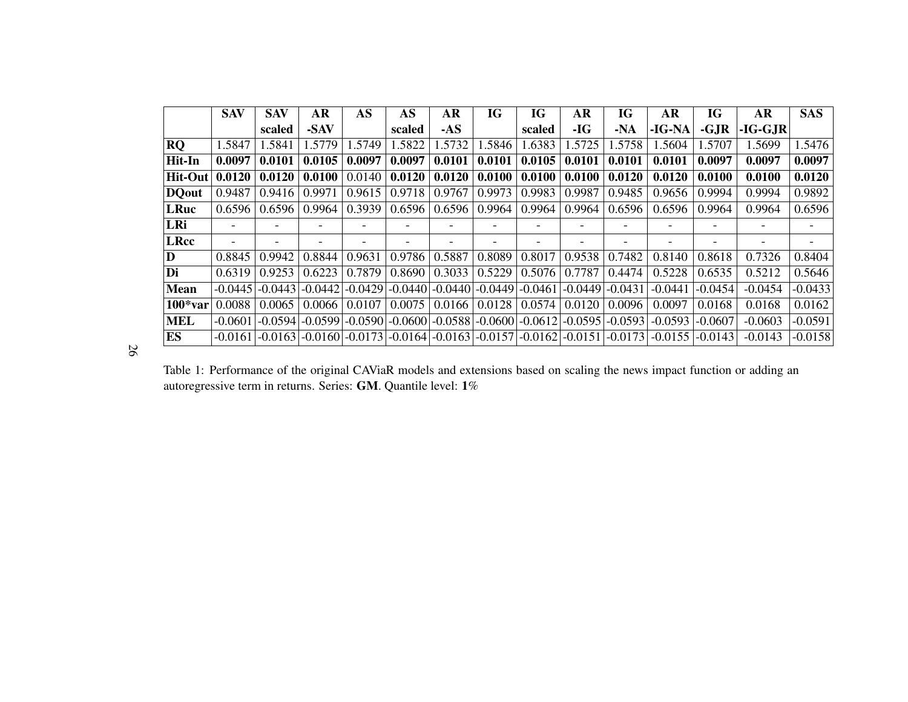|               | <b>SAV</b> | <b>SAV</b> | AR                       | AS                                                                              | AS     | AR     | IG     | IG     | AR                                                                                                                                                                                               | <b>IG</b> | AR                       | IG        | <b>AR</b> | <b>SAS</b>               |
|---------------|------------|------------|--------------------------|---------------------------------------------------------------------------------|--------|--------|--------|--------|--------------------------------------------------------------------------------------------------------------------------------------------------------------------------------------------------|-----------|--------------------------|-----------|-----------|--------------------------|
|               |            | scaled     | -SAV                     |                                                                                 | scaled | $-AS$  |        | scaled | -IG                                                                                                                                                                                              | $-NA$     | -IG-NA                   | $-GJR$    | $-IG-GJR$ |                          |
| <b>RO</b>     | 1.5847     | 1.5841     | 1.5779                   | 1.5749                                                                          | 1.5822 | 1.5732 | 1.5846 | 1.6383 | 1.5725                                                                                                                                                                                           | 1.5758    | 1.5604                   | 1.5707    | 1.5699    | 1.5476                   |
| Hit-In        | 0.0097     | 0.0101     | 0.0105                   | 0.0097                                                                          | 0.0097 | 0.0101 | 0.0101 | 0.0105 | 0.0101                                                                                                                                                                                           | 0.0101    | 0.0101                   | 0.0097    | 0.0097    | 0.0097                   |
| Hit-Out       | 0.0120     | 0.0120     | 0.0100                   | 0.0140                                                                          | 0.0120 | 0.0120 | 0.0100 | 0.0100 | 0.0100                                                                                                                                                                                           | 0.0120    | 0.0120                   | 0.0100    | 0.0100    | 0.0120                   |
| <b>DO</b> out | 0.9487     | 0.9416     | 0.9971                   | 0.9615                                                                          | 0.9718 | 0.9767 | 0.9973 | 0.9983 | 0.9987                                                                                                                                                                                           | 0.9485    | 0.9656                   | 0.9994    | 0.9994    | 0.9892                   |
| <b>LRuc</b>   | 0.6596     | 0.6596     | 0.9964                   | 0.3939                                                                          | 0.6596 | 0.6596 | 0.9964 | 0.9964 | 0.9964                                                                                                                                                                                           | 0.6596    | 0.6596                   | 0.9964    | 0.9964    | 0.6596                   |
| LRi           |            |            |                          |                                                                                 |        |        |        |        |                                                                                                                                                                                                  |           | $\overline{\phantom{0}}$ |           |           | $\overline{\phantom{0}}$ |
| <b>LRcc</b>   |            |            | $\overline{\phantom{0}}$ |                                                                                 |        |        |        |        |                                                                                                                                                                                                  |           | $\overline{\phantom{0}}$ |           |           |                          |
| D             | 0.8845     | 0.9942     | 0.8844                   | 0.9631                                                                          | 0.9786 | 0.5887 | 0.8089 | 0.8017 | 0.9538                                                                                                                                                                                           | 0.7482    | 0.8140                   | 0.8618    | 0.7326    | 0.8404                   |
| Di            | 0.6319     | 0.9253     | 0.6223                   | 0.7879                                                                          | 0.8690 | 0.3033 | 0.5229 | 0.5076 | 0.7787                                                                                                                                                                                           | 0.4474    | 0.5228                   | 0.6535    | 0.5212    | 0.5646                   |
| Mean          |            |            |                          | $-0.0445$ $-0.0443$ $-0.0442$ $-0.0429$ $-0.0440$ $-0.0440$ $-0.0449$ $-0.0461$ |        |        |        |        | -0.04491                                                                                                                                                                                         | $-0.0431$ | $-0.0441$                | $-0.0454$ | $-0.0454$ | $-0.0433$                |
| $100*var$     | 0.0088     | 0.0065     | 0.0066                   | 0.0107                                                                          | 0.0075 | 0.0166 | 0.0128 | 0.0574 | 0.0120                                                                                                                                                                                           | 0.0096    | 0.0097                   | 0.0168    | 0.0168    | 0.0162                   |
| <b>MEL</b>    | $-0.0601$  |            |                          |                                                                                 |        |        |        |        | $\left[-0.0594\right]\right.$ $\left[-0.0599\right]\left[-0.0590\right]\left[-0.0600\right]\left[-0.0588\right]\left[-0.0600\right]\left[-0.0612\right]\left[-0.0595\right]\left[-0.0593\right]$ |           | $-0.0593$                | $-0.0607$ | $-0.0603$ | $-0.0591$                |
| ES            | $-0.0161$  |            |                          |                                                                                 |        |        |        |        | $\left  -0.0163 \right $ -0.0160 -0.0173 -0.0164 -0.0163 -0.0157 -0.0162 -0.0151                                                                                                                 | $-0.0173$ | $-0.0155$ $-0.0143$      |           | $-0.0143$ | $-0.0158$                |

26

Table 1: Performance of the original CAViaR models and extensions based on scaling the news impact function or adding anautoregressive term in returns. Series: **GM**. Quantile level:  $1\%$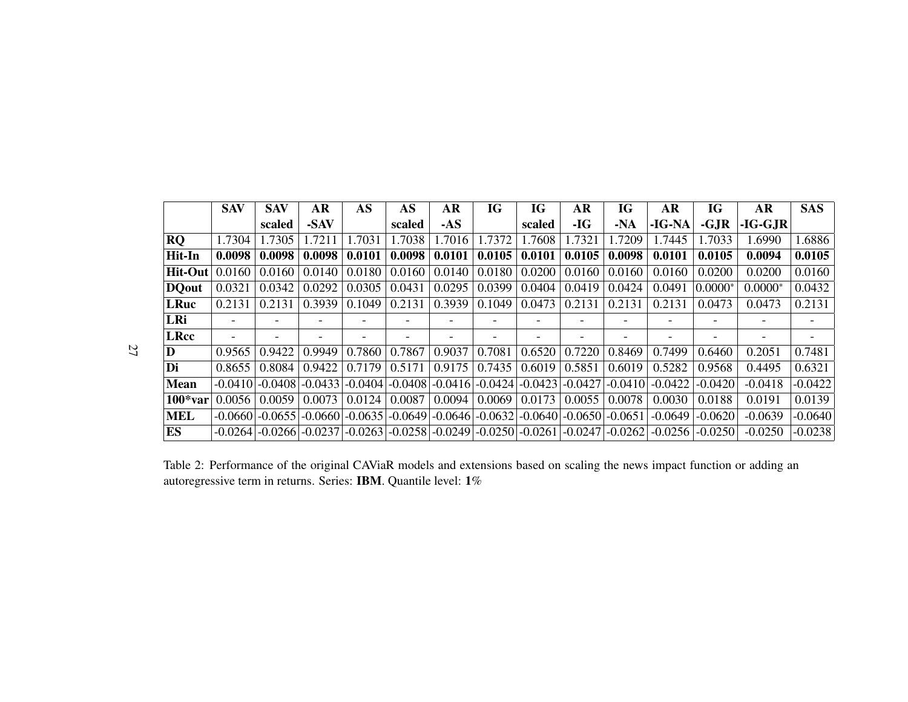<span id="page-27-0"></span>

|                | <b>SAV</b> | <b>SAV</b>                                                                      | AR     | AS     | AS     | AR     | IG     | IG     | AR                       | IG                  | AR        | IG        | AR        | <b>SAS</b> |
|----------------|------------|---------------------------------------------------------------------------------|--------|--------|--------|--------|--------|--------|--------------------------|---------------------|-----------|-----------|-----------|------------|
|                |            | scaled                                                                          | -SAV   |        | scaled | $-AS$  |        | scaled | -IG                      | $-NA$               | $-IG-NA$  | $-GJR$    | $-IG-GJR$ |            |
| <b>RQ</b>      | 1.7304     | 1.7305                                                                          | 1.7211 | 1.7031 | 1.7038 | 1.7016 | 1.7372 | 1.7608 | 1.7321                   | 1.7209              | 1.7445    | 1.7033    | 1.6990    | 1.6886     |
| Hit-In         | 0.0098     | 0.0098                                                                          | 0.0098 | 0.0101 | 0.0098 | 0.0101 | 0.0105 | 0.0101 | 0.0105                   | 0.0098              | 0.0101    | 0.0105    | 0.0094    | 0.0105     |
| <b>Hit-Out</b> | 0.0160     | 0.0160                                                                          | 0.0140 | 0.0180 | 0.0160 | 0.0140 | 0.0180 | 0.0200 | 0.0160                   | 0.0160              | 0.0160    | 0.0200    | 0.0200    | 0.0160     |
| <b>DO</b> out  | 0.0321     | 0.0342                                                                          | 0.0292 | 0.0305 | 0.0431 | 0.0295 | 0.0399 | 0.0404 | 0.0419                   | 0.0424              | 0.0491    | $0.0000*$ | $0.0000*$ | 0.0432     |
| <b>LRuc</b>    | 0.2131     | 0.2131                                                                          | 0.3939 | 0.1049 | 0.2131 | 0.3939 | 0.1049 | 0.0473 | 0.2131                   | 0.2131              | 0.2131    | 0.0473    | 0.0473    | 0.2131     |
| LRi            |            | -                                                                               |        |        |        |        |        |        | $\overline{\phantom{0}}$ |                     |           |           |           |            |
| <b>LRcc</b>    |            | -                                                                               |        |        |        |        |        |        | $\overline{\phantom{0}}$ |                     |           |           |           |            |
| D              | 0.9565     | 0.9422                                                                          | 0.9949 | 0.7860 | 0.7867 | 0.9037 | 0.7081 | 0.6520 | 0.7220                   | 0.8469              | 0.7499    | 0.6460    | 0.2051    | 0.7481     |
| Di             | 0.8655     | 0.8084                                                                          | 0.9422 | 0.7179 | 0.5171 | 0.9175 | 0.7435 | 0.6019 | 0.5851                   | 0.6019              | 0.5282    | 0.9568    | 0.4495    | 0.6321     |
| <b>Mean</b>    | -0.04101   | $-0.0408$ $-0.0433$ $-0.0404$ $-0.0408$ $-0.0416$ $-0.0424$ $-0.0423$           |        |        |        |        |        |        | $-0.0427$                | $-0.0410$           | $-0.0422$ | $-0.0420$ | $-0.0418$ | $-0.0422$  |
| $100*var$      | 0.0056     | 0.0059                                                                          | 0.0073 | 0.0124 | 0.0087 | 0.0094 | 0.0069 | 0.0173 | 0.0055                   | 0.0078              | 0.0030    | 0.0188    | 0.0191    | 0.0139     |
| <b>MEL</b>     | $-0.0660$  | $-0.0655$ $-0.0660$ $-0.0635$ $-0.0649$ $-0.0646$ $-0.0632$ $-0.0640$           |        |        |        |        |        |        | $-0.0650$ $-0.0651$      |                     | $-0.0649$ | $-0.0620$ | $-0.0639$ | $-0.0640$  |
| ES             |            | $-0.0264$ $-0.0266$ $-0.0237$ $-0.0263$ $-0.0258$ $-0.0249$ $-0.0250$ $-0.0261$ |        |        |        |        |        |        |                          | $-0.0247$ $-0.0262$ | $-0.0256$ | $-0.0250$ | $-0.0250$ | $-0.0238$  |

27

Table 2: Performance of the original CAViaR models and extensions based on scaling the news impact function or adding anautoregressive term in returns. Series: **IBM**. Quantile level:  $1\%$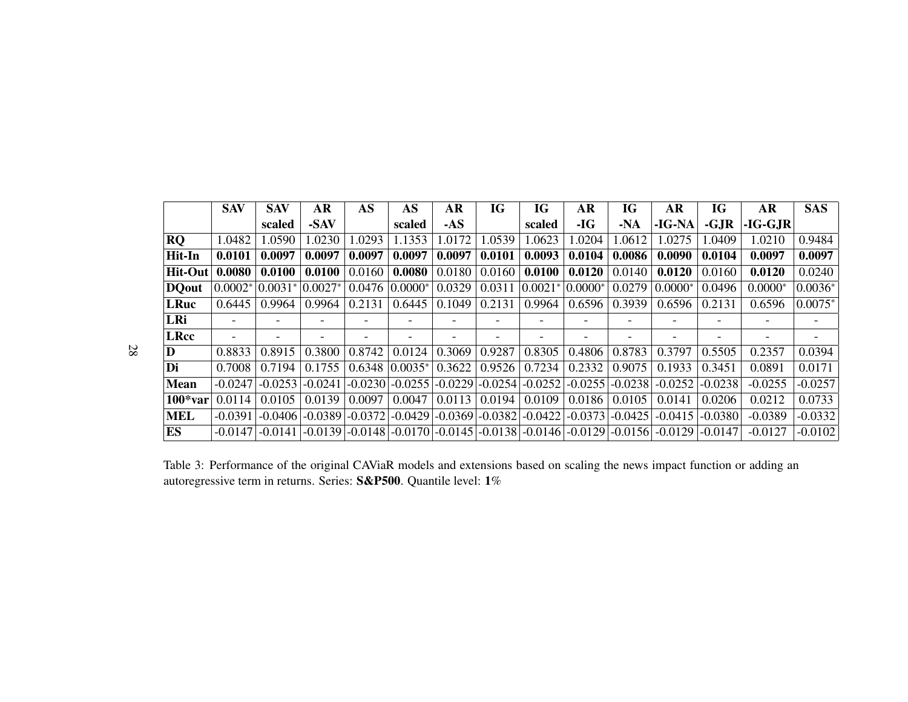|              | <b>SAV</b> | <b>SAV</b>               | AR        | AS     | AS                    | AR     | IG     | IG                            | AR                       | IG        | AR                                                                                                            | IG        | AR        | <b>SAS</b> |
|--------------|------------|--------------------------|-----------|--------|-----------------------|--------|--------|-------------------------------|--------------------------|-----------|---------------------------------------------------------------------------------------------------------------|-----------|-----------|------------|
|              |            | scaled                   | -SAV      |        | scaled                | $-AS$  |        | scaled                        | -IG                      | $-NA$     | -IG-NA                                                                                                        | $-GJR$    | -IG-GJR   |            |
| <b>RQ</b>    | 1.0482     | 1.0590                   | 1.0230    | 1.0293 | 1.1353                | 1.0172 | 1.0539 | 1.0623                        | 1.0204                   | 1.0612    | 1.0275                                                                                                        | 1.0409    | 1.0210    | 0.9484     |
| Hit-In       | 0.0101     | 0.0097                   | 0.0097    | 0.0097 | 0.0097                | 0.0097 | 0.0101 | 0.0093                        | 0.0104                   | 0.0086    | 0.0090                                                                                                        | 0.0104    | 0.0097    | 0.0097     |
| Hit-Out      | 0.0080     | 0.0100                   | 0.0100    | 0.0160 | 0.0080                | 0.0180 | 0.0160 | 0.0100                        | 0.0120                   | 0.0140    | 0.0120                                                                                                        | 0.0160    | 0.0120    | 0.0240     |
| <b>DOout</b> | $0.0002^*$ | $ 0.0031^* 0.0027^*$     |           | 0.0476 | $0.0000*$             | 0.0329 | 0.0311 | $0.0021*$                     | $0.0000*$                | 0.0279    | $0.0000*$                                                                                                     | 0.0496    | $0.0000*$ | $0.0036*$  |
| <b>LRuc</b>  | 0.6445     | 0.9964                   | 0.9964    | 0.2131 | 0.6445                | 0.1049 | 0.2131 | 0.9964                        | 0.6596                   | 0.3939    | 0.6596                                                                                                        | 0.2131    | 0.6596    | $0.0075*$  |
| LRi          |            |                          |           |        |                       |        |        |                               | -                        |           |                                                                                                               |           |           |            |
| <b>LRcc</b>  |            | $\overline{\phantom{a}}$ |           |        |                       |        |        |                               | $\overline{\phantom{0}}$ |           | $\overline{\phantom{0}}$                                                                                      |           |           |            |
| D            | 0.8833     | 0.8915                   | 0.3800    | 0.8742 | 0.0124                | 0.3069 | 0.9287 | 0.8305                        | 0.4806                   | 0.8783    | 0.3797                                                                                                        | 0.5505    | 0.2357    | 0.0394     |
| Di           | 0.7008     | 0.7194                   | 0.1755    |        | $0.6348$ $ 0.0035^* $ | 0.3622 | 0.9526 | 0.7234                        | 0.2332                   | 0.9075    | 0.1933                                                                                                        | 0.3451    | 0.0891    | 0.0171     |
| <b>Mean</b>  | $-0.0247$  | $-0.0253$                | $-0.0241$ |        | $-0.0230$ $-0.0255$   |        |        | $-0.0229$ $-0.0254$ $-0.0252$ | $-0.0255$                | $-0.0238$ | $-0.0252$                                                                                                     | $-0.0238$ | $-0.0255$ | $-0.0257$  |
| $100*var$    | 0.0114     | 0.0105                   | 0.0139    | 0.0097 | 0.0047                | 0.0113 | 0.0194 | 0.0109                        | 0.0186                   | 0.0105    | 0.0141                                                                                                        | 0.0206    | 0.0212    | 0.0733     |
| <b>MEL</b>   | $-0.0391$  | $-0.0406$                | $-0.0389$ |        | $-0.0372$ $-0.0429$   |        |        | $-0.0369$ $-0.0382$ $-0.0422$ | $-0.0373$                | $-0.0425$ | $-0.0415$                                                                                                     | $-0.0380$ | $-0.0389$ | $-0.0332$  |
| ES           | $-0.0147$  |                          |           |        |                       |        |        |                               |                          |           | $-0.0141$ $-0.0139$ $-0.0148$ $-0.0170$ $-0.0145$ $-0.0138$ $-0.0146$ $-0.0129$ $-0.0156$ $-0.0129$ $-0.0147$ |           | $-0.0127$ | $-0.0102$  |

28

Table 3: Performance of the original CAViaR models and extensions based on scaling the news impact function or adding anautoregressive term in returns. Series:  ${\bf S\&P500}$ . Quantile level: 1%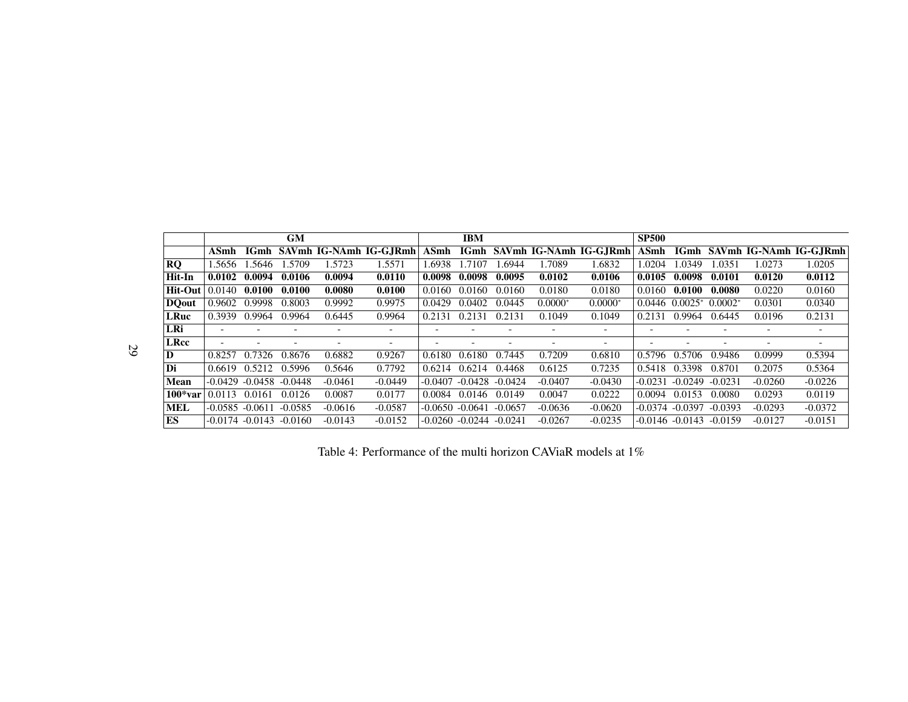|                   |                               |        | GM                          |           |                              |                   | <b>IBM</b>         |           |           |                              | <b>SP500</b> |                    |           |           |                              |
|-------------------|-------------------------------|--------|-----------------------------|-----------|------------------------------|-------------------|--------------------|-----------|-----------|------------------------------|--------------|--------------------|-----------|-----------|------------------------------|
|                   | ASmh                          |        |                             |           | IGmh SAVmh IG-NAmh IG-G.IRmh | ASmh              |                    |           |           | IGmh SAVmh IG-NAmh IG-G.IRmh | ASmh         |                    |           |           | IGmh SAVmh IG-NAmh IG-G.IRmh |
| <b>RO</b>         | .5656                         | .5646  | .5709                       | 1.5723    | 1.5571                       | .6938             | .7107              | .6944     | .7089     | 1.6832                       | 1.0204       | .0349              | .0351     | 1.0273    | 1.0205                       |
| Hit-In            | 0.0102                        | 0.0094 | 0.0106                      | 0.0094    | 0.0110                       | 0.0098            | 0.0098             | 0.0095    | 0.0102    | 0.0106                       | 0.0105       | 0.0098             | 0.0101    | 0.0120    | 0.0112                       |
| Hit-Out           | 0.0140                        | 0.0100 | 0.0100                      | 0.0080    | 0.0100                       | 0.0160            | 0.0160             | 0.0160    | 0.0180    | 0.0180                       | 0.0160       | 0.0100             | 0.0080    | 0.0220    | 0.0160                       |
| DQ <sub>out</sub> | 0.9602                        | 0.9998 | 0.8003                      | 0.9992    | 0.9975                       | 0.0429            | 0.0402             | 0.0445    | $0.0000*$ | $0.0000*$                    | 0.0446       | $0.0025*$          | $0.0002*$ | 0.0301    | 0.0340                       |
| LRuc              | 0.3939                        | 0.9964 | 0.9964                      | 0.6445    | 0.9964                       | 0.2131            | 0.2131             | 0.2131    | 0.1049    | 0.1049                       | 0.2131       | 0.9964             | 0.6445    | 0.0196    | 0.2131                       |
| LRi               | $\overline{\phantom{0}}$      |        |                             |           |                              |                   |                    |           |           |                              |              |                    |           |           |                              |
| LRcc              | $\overline{\phantom{0}}$      |        |                             |           |                              |                   |                    |           |           | $\overline{\phantom{0}}$     |              |                    |           |           | $\overline{\phantom{0}}$     |
| D                 | 0.8257                        | 0.7326 | 0.8676                      | 0.6882    | 0.9267                       | 0.6180            | 0.6180             | 0.7445    | 0.7209    | 0.6810                       | 0.5796       | 0.5706             | 0.9486    | 0.0999    | 0.5394                       |
| Di                | 0.6619                        | 0.5212 | 0.5996                      | 0.5646    | 0.7792                       | $0.6214$ $0.6214$ |                    | 0.4468    | 0.6125    | 0.7235                       | 0.5418       | 0.3398             | 0.8701    | 0.2075    | 0.5364                       |
| Mean              |                               |        | $-0.0429 - 0.0458 - 0.0448$ | $-0.0461$ | $-0.0449$                    | $-0.0407$         | $-0.0428$          | $-0.0424$ | $-0.0407$ | $-0.0430$                    | $-0.0231$    | $-0.0249$          | $-0.0231$ | $-0.0260$ | $-0.0226$                    |
| $100*var$         | 0.0113                        | 0.0161 | 0.0126                      | 0.0087    | 0.0177                       | 0.0084            | 0.0146             | 0.0149    | 0.0047    | 0.0222                       | 0.0094       | 0.0153             | 0.0080    | 0.0293    | 0.0119                       |
| <b>MEL</b>        | $-0.0585 - 0.0611$            |        | $-0.0585$                   | $-0.0616$ | $-0.0587$                    |                   | $-0.0650 - 0.0641$ | $-0.0657$ | $-0.0636$ | $-0.0620$                    | -0.0374      | $-0.0397$          | $-0.0393$ | $-0.0293$ | $-0.0372$                    |
| ES                | $-0.0174$ $-0.0143$ $-0.0160$ |        |                             | $-0.0143$ | $-0.0152$                    |                   | $-0.0260 - 0.0244$ | $-0.0241$ | $-0.0267$ | $-0.0235$                    |              | $-0.0146 - 0.0143$ | $-0.0159$ | $-0.0127$ | $-0.0151$                    |

Table 4: Performance of the multi horizon CAViaR models at 1%

29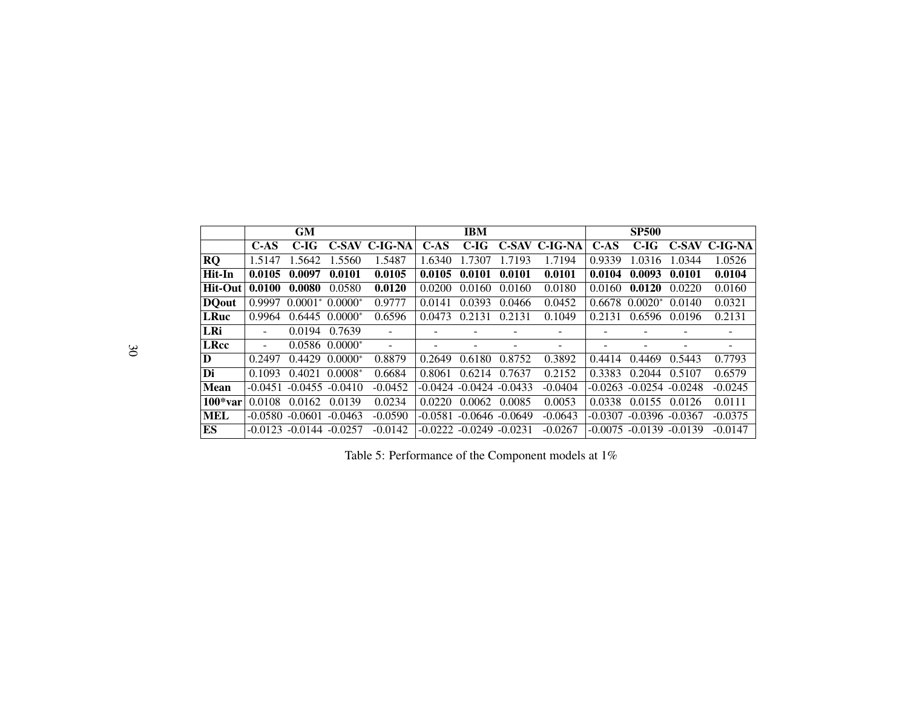|              |                          | <b>GM</b>                      |                    |                          |        | <b>IBM</b>                  |           |               |           | <b>SP500</b>                |        |               |
|--------------|--------------------------|--------------------------------|--------------------|--------------------------|--------|-----------------------------|-----------|---------------|-----------|-----------------------------|--------|---------------|
|              | $C-AS$                   | C-IG                           |                    | C-SAV C-IG-NA            | $C-AS$ | $C-IG$                      |           | C-SAV C-IG-NA | $C-AS$    | C-IG                        |        | C-SAV C-IG-NA |
| <b>RQ</b>    | 1.5147                   | 1.5642                         | 1.5560             | 1.5487                   | 1.6340 | 1.7307                      | 1.7193    | 1.7194        | 0.9339    | 1.0316                      | 1.0344 | 1.0526        |
| Hit-In       | 0.0105                   | 0.0097                         | 0.0101             | 0.0105                   | 0.0105 | 0.0101                      | 0.0101    | 0.0101        | 0.0104    | 0.0093                      | 0.0101 | 0.0104        |
| Hit-Out      | 0.0100                   | 0.0080                         | 0.0580             | 0.0120                   | 0.0200 | 0.0160                      | 0.0160    | 0.0180        | 0.0160    | 0.0120                      | 0.0220 | 0.0160        |
| <b>DQout</b> | 0.9997                   | $0.0001^*$ 0.0000 <sup>*</sup> |                    | 0.9777                   | 0.0141 | 0.0393                      | 0.0466    | 0.0452        | 0.6678    | $0.0020*$                   | 0.0140 | 0.0321        |
| <b>LRuc</b>  | 0.9964                   |                                | $0.6445$ $0.0000*$ | 0.6596                   | 0.0473 | 0.2131                      | 0.2131    | 0.1049        | 0.2131    | 0.6596                      | 0.0196 | 0.2131        |
| LRi          | $\overline{\phantom{a}}$ | 0.0194                         | 0.7639             |                          |        |                             |           |               |           |                             |        |               |
| <b>LRcc</b>  | $\overline{\phantom{a}}$ |                                | $0.0586$ $0.0000*$ | $\overline{\phantom{a}}$ |        |                             |           |               | -         |                             |        |               |
| D            | 0.2497                   | 0.4429                         | $0.0000*$          | 0.8879                   | 0.2649 | 0.6180                      | 0.8752    | 0.3892        | 0.4414    | 0.4469                      | 0.5443 | 0.7793        |
| Di           | 0.1093                   | 0.4021                         | $0.0008*$          | 0.6684                   | 0.8061 | 0.6214                      | 0.7637    | 0.2152        | 0.3383    | 0.2044                      | 0.5107 | 0.6579        |
| <b>Mean</b>  | $-0.0451$                |                                | $-0.0455 - 0.0410$ | $-0.0452$                |        | $-0.0424 - 0.0424 - 0.0433$ |           | $-0.0404$     |           | $-0.0263 - 0.0254 - 0.0248$ |        | $-0.0245$     |
| $100*var$    | 0.0108                   | 0.0162                         | 0.0139             | 0.0234                   | 0.0220 | 0.0062                      | 0.0085    | 0.0053        | 0.0338    | 0.0155                      | 0.0126 | 0.0111        |
| <b>MEL</b>   |                          | $-0.0580 - 0.0601$             | $-0.0463$          | $-0.0590$                |        | $-0.0581 - 0.0646 - 0.0649$ |           | $-0.0643$     | $-0.0307$ | $-0.0396 - 0.0367$          |        | $-0.0375$     |
| ES           | $-0.0123$                | $-0.0144$                      | $-0.0257$          | $-0.0142$                |        | $-0.0222 - 0.0249$          | $-0.0231$ | $-0.0267$     |           | $-0.0075 - 0.0139 - 0.0139$ |        | $-0.0147$     |

Table 5: Performance of the Component models at  $1\%$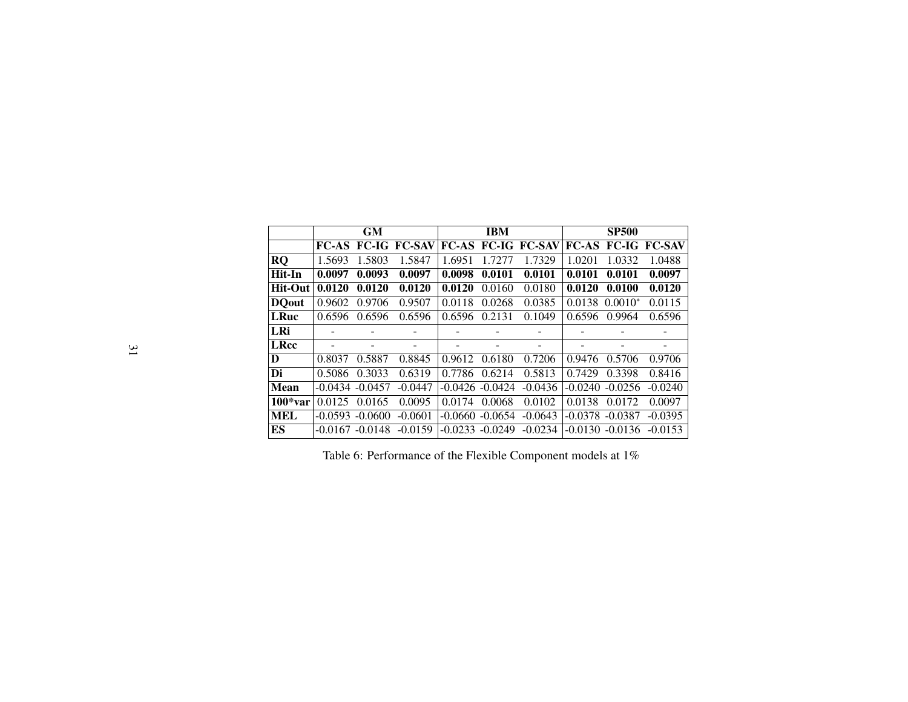|               |                    | <b>GM</b> |                           |           | <b>IBM</b>         |                           |           | <b>SP500</b> |                           |
|---------------|--------------------|-----------|---------------------------|-----------|--------------------|---------------------------|-----------|--------------|---------------------------|
|               |                    |           | <b>FC-AS FC-IG FC-SAV</b> |           |                    | <b>FC-AS FC-IG FC-SAV</b> |           |              | <b>FC-AS FC-IG FC-SAV</b> |
| <b>RQ</b>     | 1.5693             | 1.5803    | 1.5847                    | 1.6951    | 1.7277             | 1.7329                    | 1.0201    | 1.0332       | 1.0488                    |
| Hit-In        | 0.0097             | 0.0093    | 0.0097                    | 0.0098    | 0.0101             | 0.0101                    | 0.0101    | 0.0101       | 0.0097                    |
| Hit-Out       | 0.0120             | 0.0120    | 0.0120                    | 0.0120    | 0.0160             | 0.0180                    | 0.0120    | 0.0100       | 0.0120                    |
| <b>DO</b> out | 0.9602             | 0.9706    | 0.9507                    | 0.0118    | 0.0268             | 0.0385                    | 0.0138    | $0.0010*$    | 0.0115                    |
| <b>LRuc</b>   | 0.6596             | 0.6596    | 0.6596                    | 0.6596    | 0.2131             | 0.1049                    | 0.6596    | 0.9964       | 0.6596                    |
| LRi           |                    |           |                           |           |                    | $\qquad \qquad$           |           |              |                           |
| <b>LRcc</b>   | ۰                  |           | -                         | -         |                    | -                         |           |              | -                         |
| D             | 0.8037             | 0.5887    | 0.8845                    | 0.9612    | 0.6180             | 0.7206                    | 0.9476    | 0.5706       | 0.9706                    |
| Di            | 0.5086             | 0.3033    | 0.6319                    | 0.7786    | 0.6214             | 0.5813                    | 0.7429    | 0.3398       | 0.8416                    |
| <b>Mean</b>   | $-0.0434 - 0.0457$ |           | $-0.0447$                 |           | $-0.0426 - 0.0424$ | $-0.0436$                 | $-0.0240$ | $-0.0256$    | $-0.0240$                 |
| $100*var$     | 0.0125             | 0.0165    | 0.0095                    | 0.0174    | 0.0068             | 0.0102                    | 0.0138    | 0.0172       | 0.0097                    |
| <b>MEL</b>    | $-0.0593$          | $-0.0600$ | $-0.0601$                 | $-0.0660$ | $-0.0654$          | $-0.0643$                 | $-0.0378$ | $-0.0387$    | $-0.0395$                 |
| ES            | $-0.0167$          | $-0.0148$ | $-0.0159$                 | $-0.0233$ | $-0.0249$          | $-0.0234$                 | $-0.0130$ | $-0.0136$    | $-0.0153$                 |

Table 6: Performance of the Flexible Component models at 1%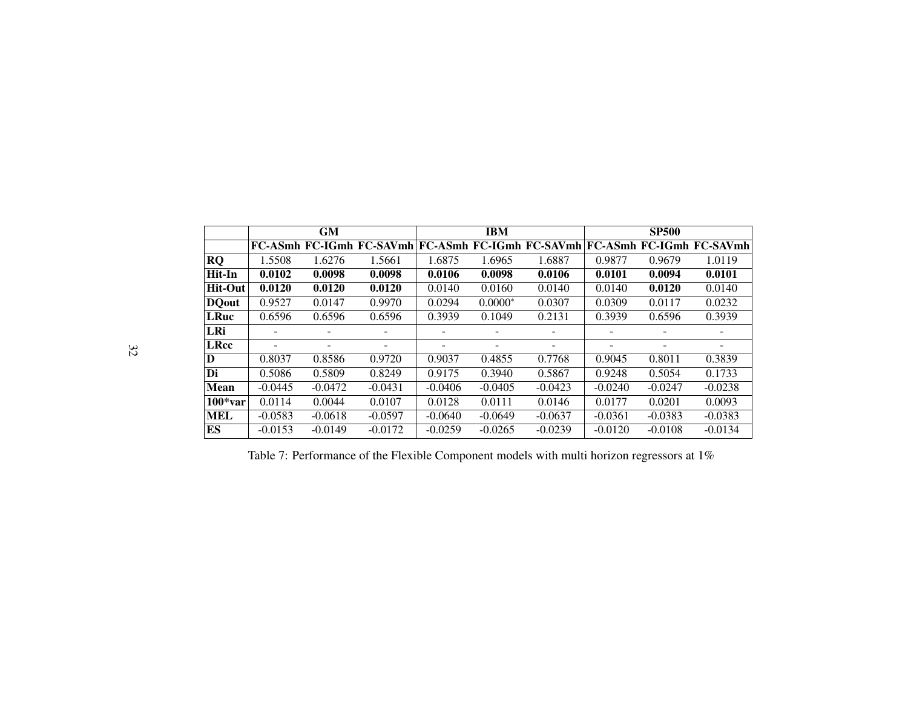|              |           | GM        |                                                                            |           | <b>IBM</b> |                          |           | <b>SP500</b> |                          |
|--------------|-----------|-----------|----------------------------------------------------------------------------|-----------|------------|--------------------------|-----------|--------------|--------------------------|
|              |           |           | FC-ASmh FC-IGmh FC-SAVmh FC-ASmh FC-IGmh FC-SAVmh FC-ASmh FC-IGmh FC-SAVmh |           |            |                          |           |              |                          |
| RQ           | 1.5508    | 1.6276    | 1.5661                                                                     | 1.6875    | 1.6965     | 1.6887                   | 0.9877    | 0.9679       | 1.0119                   |
| Hit-In       | 0.0102    | 0.0098    | 0.0098                                                                     | 0.0106    | 0.0098     | 0.0106                   | 0.0101    | 0.0094       | 0.0101                   |
| Hit-Out      | 0.0120    | 0.0120    | 0.0120                                                                     | 0.0140    | 0.0160     | 0.0140                   | 0.0140    | 0.0120       | 0.0140                   |
| <b>DQout</b> | 0.9527    | 0.0147    | 0.9970                                                                     | 0.0294    | $0.0000*$  | 0.0307                   | 0.0309    | 0.0117       | 0.0232                   |
| <b>LRuc</b>  | 0.6596    | 0.6596    | 0.6596                                                                     | 0.3939    | 0.1049     | 0.2131                   | 0.3939    | 0.6596       | 0.3939                   |
| LRi          |           | ۰         |                                                                            |           |            |                          | -         |              |                          |
| <b>LRcc</b>  |           | ۰         | ۰                                                                          | ٠         |            | $\overline{\phantom{a}}$ | ۰         |              | $\overline{\phantom{0}}$ |
| D            | 0.8037    | 0.8586    | 0.9720                                                                     | 0.9037    | 0.4855     | 0.7768                   | 0.9045    | 0.8011       | 0.3839                   |
| Di           | 0.5086    | 0.5809    | 0.8249                                                                     | 0.9175    | 0.3940     | 0.5867                   | 0.9248    | 0.5054       | 0.1733                   |
| <b>Mean</b>  | $-0.0445$ | $-0.0472$ | $-0.0431$                                                                  | $-0.0406$ | $-0.0405$  | $-0.0423$                | $-0.0240$ | $-0.0247$    | $-0.0238$                |
| $100*var$    | 0.0114    | 0.0044    | 0.0107                                                                     | 0.0128    | 0.0111     | 0.0146                   | 0.0177    | 0.0201       | 0.0093                   |
| <b>MEL</b>   | $-0.0583$ | $-0.0618$ | $-0.0597$                                                                  | $-0.0640$ | $-0.0649$  | $-0.0637$                | $-0.0361$ | $-0.0383$    | $-0.0383$                |
| ES           | $-0.0153$ | $-0.0149$ | $-0.0172$                                                                  | $-0.0259$ | $-0.0265$  | $-0.0239$                | $-0.0120$ | $-0.0108$    | $-0.0134$                |

Table 7: Performance of the Flexible Component models with multi horizon regressors at  $1\%$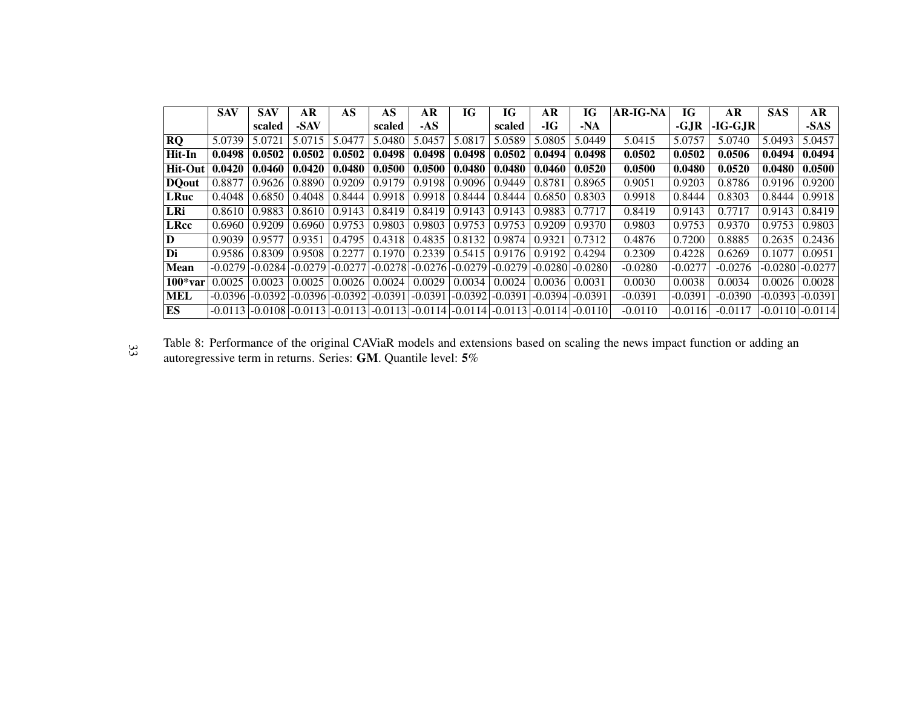|                   | <b>SAV</b> | <b>SAV</b>          | <b>AR</b>                                                                                 | AS                 | AS        | AR        | IG                 | IG        | AR        | IG              | <b>AR-IG-NA</b> | IG        | <b>AR</b> | <b>SAS</b> | AR                  |
|-------------------|------------|---------------------|-------------------------------------------------------------------------------------------|--------------------|-----------|-----------|--------------------|-----------|-----------|-----------------|-----------------|-----------|-----------|------------|---------------------|
|                   |            | scaled              | -SAV                                                                                      |                    | scaled    | $-AS$     |                    | scaled    | -IG       | $-NA$           |                 | -GJR      | $-IG-GJR$ |            | $-SAS$              |
| RQ                | 5.0739     | 5.0721              | 5.0715                                                                                    | 5.0477             | 5.0480    | 5.0457    | 5.0817             | 5.0589    | 5.0805    | 5.0449          | 5.0415          | 5.0757    | 5.0740    | 5.0493     | 5.0457              |
| Hit-In            | 0.0498     | 0.0502              | 0.0502                                                                                    | 0.0502             | 0.0498    | 0.0498    | 0.0498             | 0.0502    | 0.0494    | 0.0498          | 0.0502          | 0.0502    | 0.0506    | 0.0494     | 0.0494              |
| Hit-Out           | 0.0420     | 0.0460              | 0.0420                                                                                    | 0.0480             | 0.0500    | 0.0500    | 0.0480             | 0.0480    | 0.0460    | 0.0520          | 0.0500          | 0.0480    | 0.0520    | 0.0480     | 0.0500              |
| DQ <sub>out</sub> | 0.8877     | 0.9626              | 0.8890                                                                                    | 0.9209             | 0.9179    | 0.9198    | 0.9096             | 0.9449    | 0.8781    | 0.8965          | 0.9051          | 0.9203    | 0.8786    | 0.9196     | 0.9200              |
| <b>LRuc</b>       | 0.4048     | 0.6850              | 0.4048                                                                                    | 0.8444             | 0.9918    | 0.9918    | 0.8444             | 0.8444    | 0.6850    | 0.8303          | 0.9918          | 0.8444    | 0.8303    | 0.8444     | 0.9918              |
| LRi               | 0.8610     | 0.9883              | 0.8610                                                                                    | 0.9143             | 0.8419    | 0.8419    | 0.9143             | 0.9143    | 0.9883    | 0.7717          | 0.8419          | 0.9143    | 0.7717    | 0.9143     | 0.8419              |
| LRcc              | 0.6960     | 0.9209              | 0.6960                                                                                    | 0.9753             | 0.9803    | 0.9803    | 0.9753             | 0.9753    | 0.9209    | 0.9370          | 0.9803          | 0.9753    | 0.9370    | 0.9753     | 0.9803              |
| $\bf D$           | 0.9039     | 0.9577              | 0.9351                                                                                    | 0.4795             | 0.4318    | 0.4835    | 0.8132             | 0.9874    | 0.9321    | 0.7312          | 0.4876          | 0.7200    | 0.8885    | 0.2635     | 0.2436              |
| Di                | 0.9586     | 0.8309              | 0.9508                                                                                    | 0.2277             | 0.1970    | 0.2339    | 0.5415             | 0.9176    | 0.9192    | 0.4294          | 0.2309          | 0.4228    | 0.6269    | 0.1077     | 0.0951              |
| <b>Mean</b>       | $-0.0279$  | $-0.0284$           | $-0.0279$                                                                                 | $-0.0277$          | $-0.0278$ |           | $-0.0276[-0.0279]$ | $-0.0279$ | $-0.0280$ | $-0.0280$       | $-0.0280$       | $-0.0277$ | $-0.0276$ | $-0.0280$  | $-0.0277$           |
| $100*var$         | 0.0025     | 0.0023              | 0.0025                                                                                    | 0.0026             | 0.0024    | 0.0029    | 0.0034             | 0.0024    | 0.0036    | 0.0031          | 0.0030          | 0.0038    | 0.0034    | 0.0026     | 0.0028              |
| <b>MEL</b>        |            | $-0.0396$ $-0.0392$ | $-0.0396$                                                                                 | $-0.0392[-0.0391]$ |           | $-0.0391$ | $-.0.0392$         | $-0.0391$ | $-0.0394$ | $-0.0391$       | $-0.0391$       | $-0.0391$ | $-0.0390$ | $-0.0393$  | $-0.0391$           |
| ES                |            |                     | $-0.0113$ $-0.0108$ $-0.0113$ $-0.0113$ $-0.0113$ $-0.0113$ $-0.0114$ $-0.0114$ $-0.0113$ |                    |           |           |                    |           |           | -0.0114 -0.0110 | $-0.0110$       | $-0.0116$ | $-0.0117$ |            | $-0.0110$ $-0.0114$ |

Table 8: Performance of the original CAViaR models and extensions based on scaling the news impact function or adding anautoregressive term in returns. Series: **GM**. Quantile level:  $5\%$ 33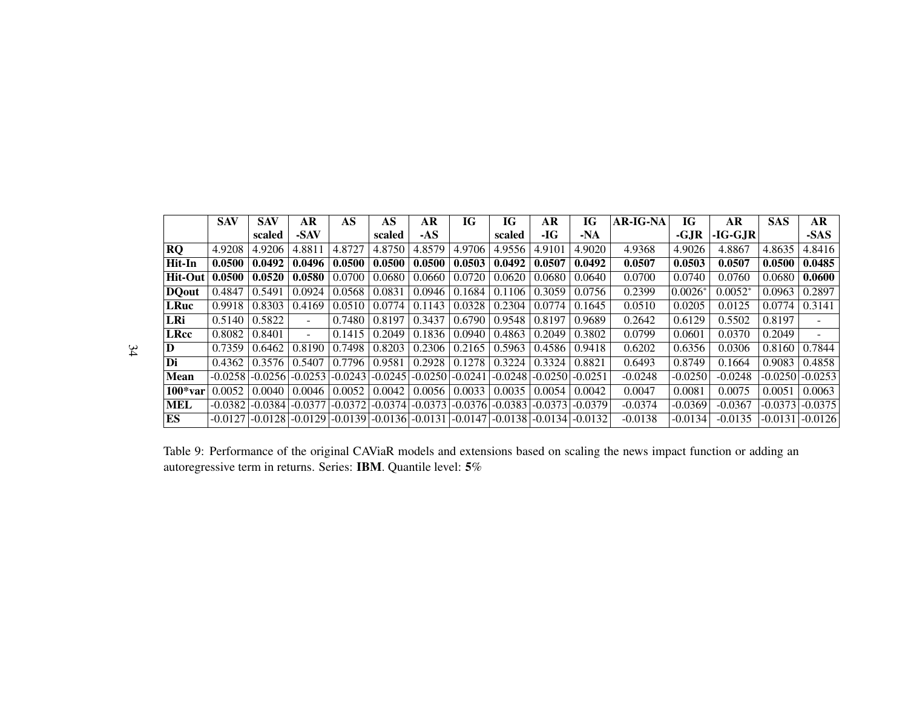|                | <b>SAV</b> | <b>SAV</b> | AR        | AS     | AS                                                                    | AR     | IG                            | IG         | AR                 | IG        | <b>AR-IG-NA</b> | IG        | AR        | <b>SAS</b> | <b>AR</b> |
|----------------|------------|------------|-----------|--------|-----------------------------------------------------------------------|--------|-------------------------------|------------|--------------------|-----------|-----------------|-----------|-----------|------------|-----------|
|                |            | scaled     | -SAV      |        | scaled                                                                | $-AS$  |                               | scaled     | $-IG$              | $-NA$     |                 | $-GJR$    | $-IG-GJR$ |            | -SAS      |
| <b>RQ</b>      | 4.9208     | 4.9206     | 4.8811    | 4.8727 | 4.8750                                                                | 4.8579 | 4.9706                        | 4.9556     | 4.9101             | 4.9020    | 4.9368          | 4.9026    | 4.8867    | 4.8635     | 4.8416    |
| Hit-In         | 0.0500     | 0.0492     | 0.0496    | 0.0500 | 0.0500                                                                | 0.0500 | 0.0503                        | 0.0492     | 0.0507             | 0.0492    | 0.0507          | 0.0503    | 0.0507    | 0.0500     | 0.0485    |
| <b>Hit-Out</b> | 0.0500     | 0.0520     | 0.0580    | 0.0700 | 0.0680                                                                | 0.0660 | 0.0720                        | 0.0620     | 0.0680             | 0.0640    | 0.0700          | 0.0740    | 0.0760    | 0.0680     | 0.0600    |
| <b>DO</b> out  | 0.4847     | 0.5491     | 0.0924    | 0.0568 | 0.0831                                                                | 0.0946 | 0.1684                        | 0.1106     | 0.3059             | 0.0756    | 0.2399          | $0.0026*$ | $0.0052*$ | 0.0963     | 0.2897    |
| <b>LRuc</b>    | 0.9918     | 0.8303     | 0.4169    | 0.0510 | 0.0774                                                                | 0.1143 | 0.0328                        | 0.2304     | 0.0774             | 0.1645    | 0.0510          | 0.0205    | 0.0125    | 0.0774     | 0.3141    |
| LRi            | 0.5140     | 0.5822     | $\sim$    | 0.7480 | 0.8197                                                                | 0.3437 | 0.6790                        | 0.9548     | 0.8197             | 0.9689    | 0.2642          | 0.6129    | 0.5502    | 0.8197     |           |
| <b>LRcc</b>    | 0.8082     | 0.8401     | $\sim$    | 0.1415 | 0.2049                                                                | 0.1836 | 0.0940                        | 0.4863     | 0.2049             | 0.3802    | 0.0799          | 0.0601    | 0.0370    | 0.2049     | $\sim$    |
| D              | 0.7359     | 0.6462     | 0.8190    | 0.7498 | 0.8203                                                                | 0.2306 | 0.2165                        | 0.5963     | 0.4586             | 0.9418    | 0.6202          | 0.6356    | 0.0306    | 0.8160     | 0.7844    |
| Di             | 0.4362     | 0.3576     | 0.5407    | 0.7796 | 0.9581                                                                | 0.2928 | 0.1278                        | 0.3224     | 0.3324             | 0.8821    | 0.6493          | 0.8749    | 0.1664    | 0.9083     | 0.4858    |
| <b>Mean</b>    | $-0.0258$  | $-0.0256$  | $-0.0253$ |        | $-0.0243$ $-0.0245$                                                   |        | $-0.0250$ $-0.0241$           | $-.0.0248$ | $-0.0250$          | $-0.0251$ | $-0.0248$       | $-0.0250$ | $-0.0248$ | $-0.0250$  | $-0.0253$ |
| $100*var$      | 0.0052     | 0.0040     | 0.0046    | 0.0052 | 0.0042                                                                | 0.0056 | 0.0033                        | 0.0035     | 0.0054             | 0.0042    | 0.0047          | 0.0081    | 0.0075    | 0.0051     | 0.0063    |
| <b>MEL</b>     | $-0.0382$  | $-0.0384$  | $-0.0377$ |        | $-0.0372$ $-0.0374$                                                   |        | $-0.0373$ $-0.0376$ $-0.0383$ |            | $-0.0373 - 0.0379$ |           | $-0.0374$       | $-0.0369$ | $-0.0367$ | $-0.0373$  | $-0.0375$ |
| ES             | $-0.0127$  | $-0.0128$  | $-0.0129$ |        | $-0.0139$ $-0.0136$ $-0.0131$ $-0.0147$ $-0.0138$ $-0.0134$ $-0.0132$ |        |                               |            |                    |           | $-0.0138$       | $-0.0134$ | $-0.0135$ | $-0.0131$  | $-0.0126$ |

Table 9: Performance of the original CAViaR models and extensions based on scaling the news impact function or adding anautoregressive term in returns. Series: **IBM**. Quantile level:  $5\%$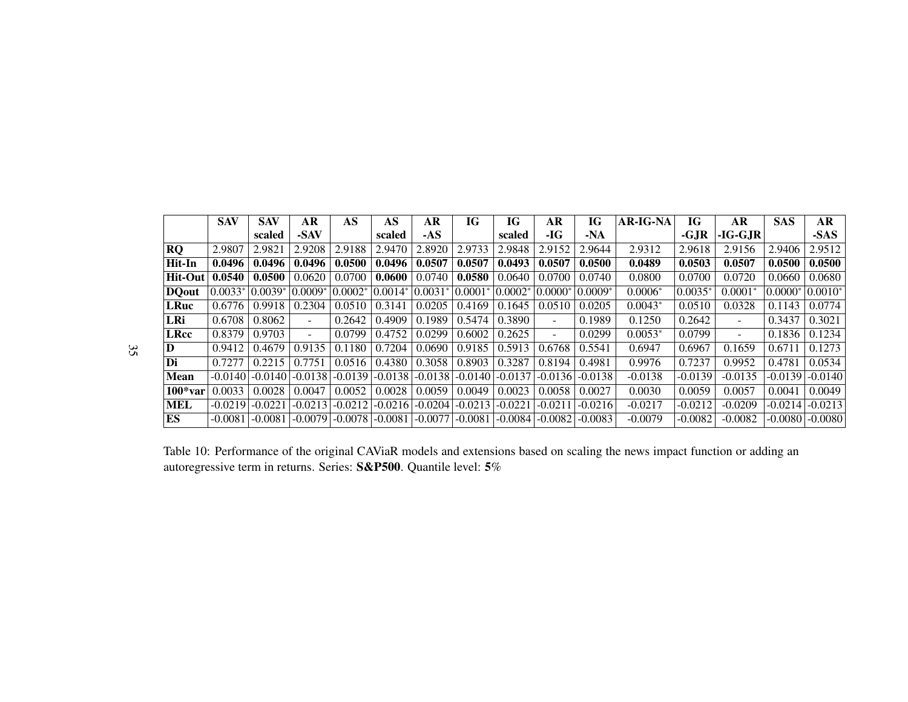|                | <b>SAV</b> | <b>SAV</b> | AR        | AS         | AS                  | AR          | IG                  | IG        | AR                       | <b>IG</b> | <b>AR-IG-NA</b> | <b>IG</b> | AR        | <b>SAS</b> | AR                  |
|----------------|------------|------------|-----------|------------|---------------------|-------------|---------------------|-----------|--------------------------|-----------|-----------------|-----------|-----------|------------|---------------------|
|                |            | scaled     | -SAV      |            | scaled              | $-AS$       |                     | scaled    | -IG                      | $-NA$     |                 | $-GJR$    | $-IG-GJR$ |            | -SAS                |
| <b>RQ</b>      | 2.9807     | 2.9821     | 2.9208    | 2.9188     | 2.9470              | 2.8920      | 2.9733              | 2.9848    | 2.9152                   | 2.9644    | 2.9312          | 2.9618    | 2.9156    | 2.9406     | 2.9512              |
| Hit-In         | 0.0496     | 0.0496     | 0.0496    | 0.0500     | 0.0496              | 0.0507      | 0.0507              | 0.0493    | 0.0507                   | 0.0500    | 0.0489          | 0.0503    | 0.0507    | 0.0500     | 0.0500              |
| <b>Hit-Out</b> | 0.0540     | 0.0500     | 0.0620    | 0.0700     | 0.0600              | 0.0740      | 0.0580              | 0.0640    | 0.0700                   | 0.0740    | 0.0800          | 0.0700    | 0.0720    | 0.0660     | 0.0680              |
| <b>DQout</b>   | $0.0033*$  | $ 0.0039*$ | $0.0009*$ | $ 0.0002*$ | $ 0.0014* $         | $ 0.0031* $ | $ 0.0001*$          | $0.0002*$ | $0.0000*$                | $0.0009*$ | $0.0006*$       | $0.0035*$ | $0.0001*$ | $0.0000*$  | $ 0.0010*$          |
| <b>LRuc</b>    | 0.6776     | 0.9918     | 0.2304    | 0.0510     | 0.3141              | 0.0205      | 0.4169              | 0.1645    | 0.0510                   | 0.0205    | $0.0043*$       | 0.0510    | 0.0328    | 0.1143     | 0.0774              |
| LRi            | 0.6708     | 0.8062     | $\sim$    | 0.2642     | 0.4909              | 0.1989      | 0.5474              | 0.3890    | $\sim$                   | 0.1989    | 0.1250          | 0.2642    |           | 0.3437     | 0.3021              |
| <b>LRcc</b>    | 0.8379     | 0.9703     | н.        | 0.0799     | 0.4752              | 0.0299      | 0.6002              | 0.2625    | $\overline{\phantom{a}}$ | 0.0299    | $0.0053*$       | 0.0799    |           | 0.1836     | 0.1234              |
| D              | 0.9412     | 0.4679     | 0.9135    | 0.1180     | 0.7204              | 0.0690      | 0.9185              | 0.5913    | 0.6768                   | 0.5541    | 0.6947          | 0.6967    | 0.1659    | 0.6711     | 0.1273              |
| Di             | 0.7277     | 0.2215     | 0.7751    | 0.0516     | 0.4380              | 0.3058      | 0.8903              | 0.3287    | 0.8194                   | 0.4981    | 0.9976          | 0.7237    | 0.9952    | 0.4781     | 0.0534              |
| <b>Mean</b>    | $-0.0140$  | $-0.0140$  | $-0.0138$ | $-0.0139$  | $-0.0138$           | $-0.0138$   | $-0.0140$ $-0.0137$ |           | $\sim 0.0136$            | $-0.0138$ | $-0.0138$       | $-0.0139$ | $-0.0135$ | $-0.0139$  | $-0.0140$           |
| $100*var$      | 0.0033     | 0.0028     | 0.0047    | 0.0052     | 0.0028              | 0.0059      | 0.0049              | 0.0023    | 0.0058                   | 0.0027    | 0.0030          | 0.0059    | 0.0057    | 0.0041     | 0.0049              |
| <b>MEL</b>     | $-0.0219$  | $-0.0221$  | $-0.0213$ | $-0.0212$  | $-0.0216$           | $-0.0204$   | $-0.0213$           | $-0.0221$ | $-0.0211$                | $-0.0216$ | $-0.0217$       | $-0.0212$ | $-0.0209$ | $-0.0214$  | $-0.0213$           |
| ES             | $-0.0081$  | $-0.0081$  | $-0.0079$ |            | $-0.0078$ $-0.0081$ | $-0.0077$   | $-0.0081$           |           | $-0.0084$ $-0.0082$      | $-0.0083$ | $-0.0079$       | $-0.0082$ | $-0.0082$ |            | $-0.0080$ $-0.0080$ |

Table 10: Performance of the original CAViaR models and extensions based on scaling the news impact function or adding anautoregressive term in returns. Series:  ${\bf S\&P500}$ . Quantile level:  ${\bf 5\%}$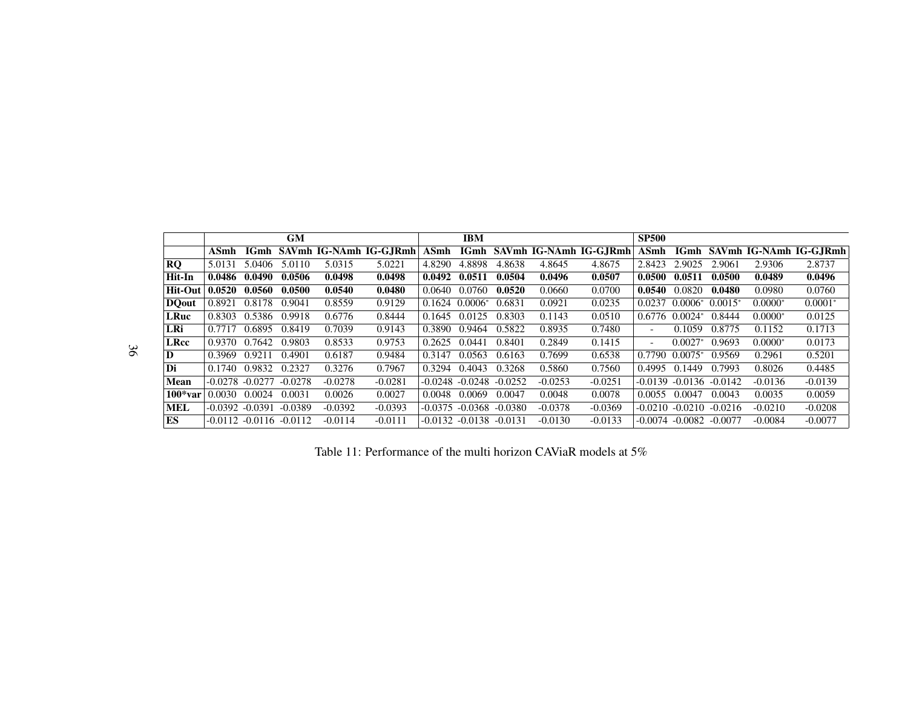|                |                     |        | GM                          |           |                         |         | IBM                |           |           |                              | <b>SP500</b>             |                     |           |           |                             |
|----------------|---------------------|--------|-----------------------------|-----------|-------------------------|---------|--------------------|-----------|-----------|------------------------------|--------------------------|---------------------|-----------|-----------|-----------------------------|
|                | ASmh                | IGmh   |                             |           | SAVmh IG-NAmh IG-G.IRmh | ASmh    |                    |           |           | IGmh SAVmh IG-NAmh IG-G.IRmh | ASmh                     |                     |           |           | IGmh SAVmh IG-NAmh IG-GJRmh |
| <b>RQ</b>      | 5.0131              | 5.0406 | 5.0110                      | 5.0315    | 5.0221                  | 4.8290  | 4.8898             | 4.8638    | 4.8645    | 4.8675                       | 2.8423                   | 2.9025              | 2.9061    | 2.9306    | 2.8737                      |
| Hit-In         | 0.0486              | 0.0490 | 0.0506                      | 0.0498    | 0.0498                  | 0.0492  | 0.0511             | 0.0504    | 0.0496    | 0.0507                       | 0.0500                   | 0.0511              | 0.0500    | 0.0489    | 0.0496                      |
| <b>Hit-Out</b> | 0.0520              | 0.0560 | 0.0500                      | 0.0540    | 0.0480                  | 0.0640  | 0.0760             | 0.0520    | 0.0660    | 0.0700                       | 0.0540                   | 0.0820              | 0.0480    | 0.0980    | 0.0760                      |
| <b>DQout</b>   | 0.8921              | 0.8178 | 0.9041                      | 0.8559    | 0.9129                  | 0.1624  | $0.0006*$          | 0.6831    | 0.0921    | 0.0235                       | 0.0237                   | $0.0006*$           | $0.0015*$ | $0.0000*$ | $0.0001*$                   |
| <b>LRuc</b>    | 0.8303              | 0.5386 | 0.9918                      | 0.6776    | 0.8444                  | 0.1645  | 0.0125             | 0.8303    | 0.1143    | 0.0510                       | 0.6776                   | $0.0024*$           | 0.8444    | $0.0000*$ | 0.0125                      |
| LRi            | 0.7717              | 0.6895 | 0.8419                      | 0.7039    | 0.9143                  | 0.3890  | 0.9464             | 0.5822    | 0.8935    | 0.7480                       | $\overline{\phantom{a}}$ | 0.1059              | 0.8775    | 0.1152    | 0.1713                      |
| <b>LRcc</b>    | 0.9370              | 0.7642 | 0.9803                      | 0.8533    | 0.9753                  | 0.2625  | 0.0441             | 0.8401    | 0.2849    | 0.1415                       | $\sim$                   | $0.0027*$           | 0.9693    | $0.0000*$ | 0.0173                      |
| D              | 0.3969              | 0.9211 | 0.4901                      | 0.6187    | 0.9484                  | 0.3147  | 0.0563             | 0.6163    | 0.7699    | 0.6538                       | 0.7790                   | $0.0075*$           | 0.9569    | 0.2961    | 0.5201                      |
| Di             | 0.1740              | 0.9832 | 0.2327                      | 0.3276    | 0.7967                  | 0.3294  | 0.4043             | 0.3268    | 0.5860    | 0.7560                       | 0.4995                   | 0.1449              | 0.7993    | 0.8026    | 0.4485                      |
| Mean           | $-0.0278$ $-0.0277$ |        | $-0.0278$                   | $-0.0278$ | $-0.0281$               | -0.0248 | $-0.0248$          | $-0.0252$ | $-0.0253$ | $-0.0251$                    | $-0.0139$                | $-0.0136$           | $-0.0142$ | $-0.0136$ | $-0.0139$                   |
| $100*var$      | 0.0030              | 0.0024 | 0.0031                      | 0.0026    | 0.0027                  | 0.0048  | 0.0069             | 0.0047    | 0.0048    | 0.0078                       | 0.0055                   | 0.0047              | 0.0043    | 0.0035    | 0.0059                      |
| <b>MEL</b>     | $-0.0392 - 0.0391$  |        | $-0.0389$                   | $-0.0392$ | $-0.0393$               | -0.0375 | -0.0368            | $-0.0380$ | $-0.0378$ | $-0.0369$                    | $-0.0210$                | $-0.0210$           | $-0.0216$ | $-0.0210$ | $-0.0208$                   |
| ES             |                     |        | $-0.0112 - 0.0116 - 0.0112$ | $-0.0114$ | $-0.0111$               |         | $-0.0132 - 0.0138$ | $-0.0131$ | $-0.0130$ | $-0.0133$                    |                          | $-0.0074$ $-0.0082$ | $-0.0077$ | $-0.0084$ | $-0.0077$                   |

36

Table 11: Performance of the multi horizon CAViaR models at 5%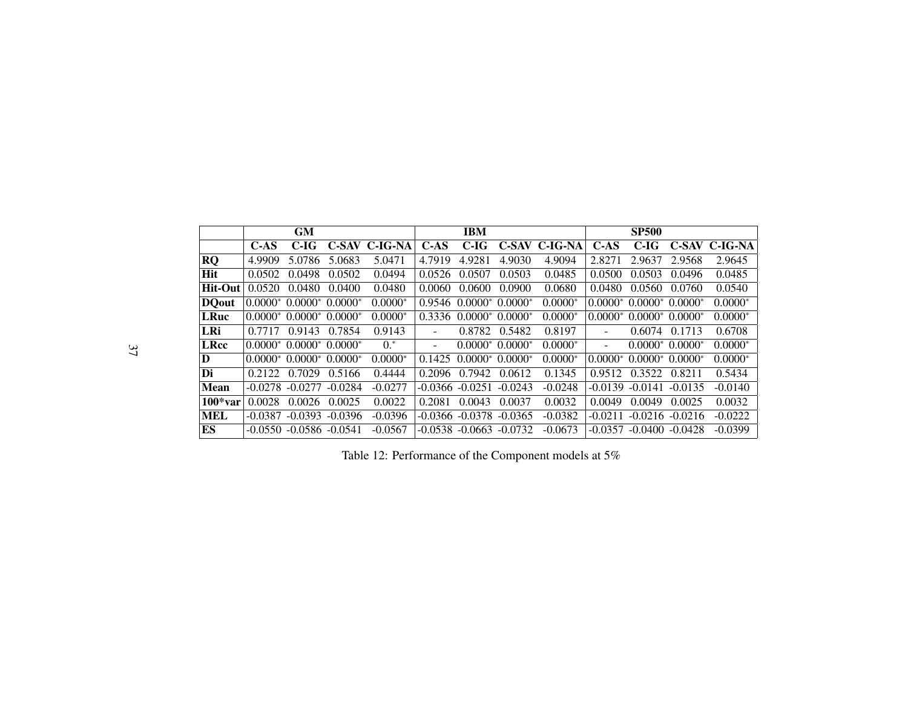|              |           | <b>GM</b>                                         |           |               |        | <b>IBM</b>                     |           |               |                          | <b>SP500</b>                   |                  |               |
|--------------|-----------|---------------------------------------------------|-----------|---------------|--------|--------------------------------|-----------|---------------|--------------------------|--------------------------------|------------------|---------------|
|              | C-AS      | C-IG                                              |           | C-SAV C-IG-NA | $C-AS$ | $C-IG$                         |           | C-SAV C-IG-NA | $C-AS$                   | C-IG                           |                  | C-SAV C-IG-NA |
| <b>RQ</b>    | 4.9909    | 5.0786                                            | 5.0683    | 5.0471        | 4.7919 | 4.9281                         | 4.9030    | 4.9094        | 2.8271                   | 2.9637                         | 2.9568           | 2.9645        |
| <b>Hit</b>   | 0.0502    | 0.0498                                            | 0.0502    | 0.0494        | 0.0526 | 0.0507                         | 0.0503    | 0.0485        | 0.0500                   | 0.0503                         | 0.0496           | 0.0485        |
| Hit-Out      | 0.0520    | 0.0480                                            | 0.0400    | 0.0480        | 0.0060 | 0.0600                         | 0.0900    | 0.0680        | 0.0480                   | 0.0560                         | 0.0760           | 0.0540        |
| <b>DQout</b> |           | $0.0000*$ 0.0000 <sup>*</sup> 0.0000 <sup>*</sup> |           | $0.0000*$     | 0.9546 | $0.0000^*$ 0.0000 <sup>*</sup> |           | $0.0000*$     | $0.0000*$                | $0.0000^*$ 0.0000 <sup>*</sup> |                  | $0.0000*$     |
| <b>LRuc</b>  |           | $0.0000*$ 0.0000* 0.0000*                         |           | $0.0000*$     | 0.3336 | $0.0000*$                      | $0.0000*$ | $0.0000*$     | $0.0000*$                | $0.0000^*$ 0.0000 <sup>*</sup> |                  | $0.0000*$     |
| LRi          | 0.7717    | 0.9143                                            | 0.7854    | 0.9143        | ۰      | 0.8782                         | 0.5482    | 0.8197        | $\overline{\phantom{a}}$ | 0.6074                         | 0.1713           | 0.6708        |
| <b>LRcc</b>  |           | $0.0000*$ 0.0000* 0.0000*                         |           | $0.*$         | ۰      | $0.0000*0.0000*$               |           | $0.0000*$     | $\sim$                   |                                | $0.0000*0.0000*$ | $0.0000*$     |
| D            |           | $0.0000*$ 0.0000* 0.0000*                         |           | $0.0000*$     | 0.1425 | $0.0000^*$ 0.0000 <sup>*</sup> |           | $0.0000*$     | $0.0000*$                | $0.0000^*$ 0.0000 <sup>*</sup> |                  | $0.0000*$     |
| Di           | 0.2122    | 0.7029                                            | 0.5166    | 0.4444        | 0.2096 | 0.7942                         | 0.0612    | 0.1345        | 0.9512                   | 0.3522                         | 0.8211           | 0.5434        |
| <b>Mean</b>  | $-0.0278$ | $-0.0277$                                         | $-0.0284$ | $-0.0277$     |        | $-0.0366 - 0.0251$             | $-0.0243$ | $-0.0248$     |                          | $-0.0139 - 0.0141$             | $-0.0135$        | $-0.0140$     |
| $100*var$    | 0.0028    | 0.0026                                            | 0.0025    | 0.0022        | 0.2081 | 0.0043                         | 0.0037    | 0.0032        | 0.0049                   | 0.0049                         | 0.0025           | 0.0032        |
| <b>MEL</b>   | $-0.0387$ | $-0.0393$                                         | $-0.0396$ | $-0.0396$     |        | -0.0366 -0.0378                | $-0.0365$ | $-0.0382$     | $-0.0211$                | $-0.0216$                      | $-0.0216$        | $-0.0222$     |
| ES           |           | $-0.0550 - 0.0586 - 0.0541$                       |           | $-0.0567$     |        | $-0.0538 - 0.0663$             | $-0.0732$ | $-0.0673$     | $-0.0357$                | $-0.0400 - 0.0428$             |                  | $-0.0399$     |

Table 12: Performance of the Component models at  $5\%$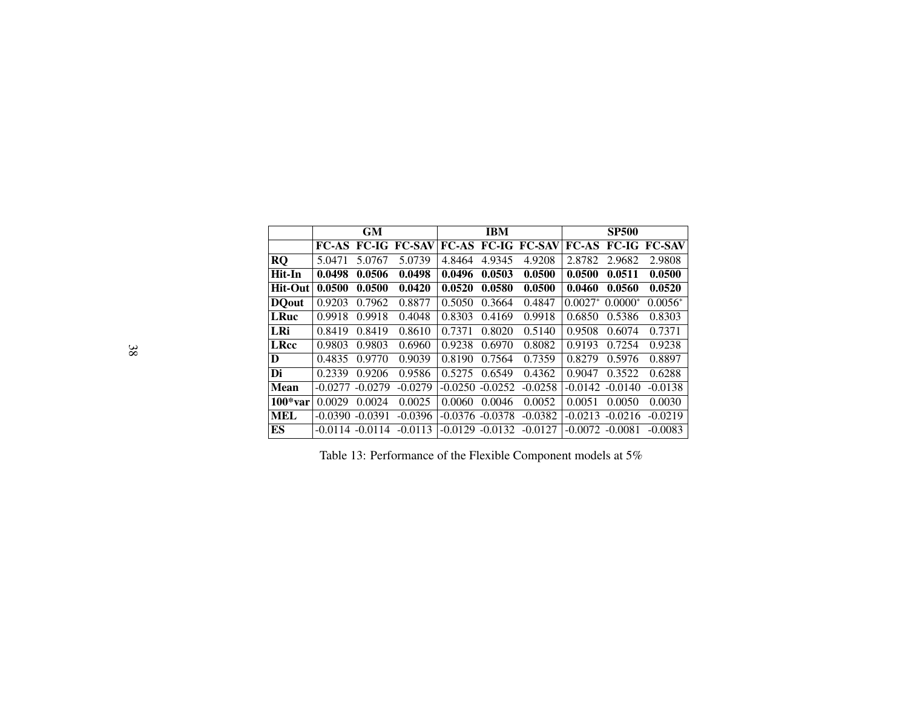<span id="page-38-0"></span>

|               |           | <b>GM</b> |                           |           | <b>IBM</b>         |                           |            | <b>SP500</b> |                     |
|---------------|-----------|-----------|---------------------------|-----------|--------------------|---------------------------|------------|--------------|---------------------|
|               |           |           | <b>FC-AS FC-IG FC-SAV</b> |           |                    | <b>FC-AS FC-IG FC-SAV</b> | $FC-AS$    |              | <b>FC-IG FC-SAV</b> |
| <b>RQ</b>     | 5.0471    | 5.0767    | 5.0739                    | 4.8464    | 4.9345             | 4.9208                    | 2.8782     | 2.9682       | 2.9808              |
| Hit-In        | 0.0498    | 0.0506    | 0.0498                    | 0.0496    | 0.0503             | 0.0500                    | 0.0500     | 0.0511       | 0.0500              |
| $Hit-Out$     | 0.0500    | 0.0500    | 0.0420                    | 0.0520    | 0.0580             | 0.0500                    | 0.0460     | 0.0560       | 0.0520              |
| <b>DO</b> out | 0.9203    | 0.7962    | 0.8877                    | 0.5050    | 0.3664             | 0.4847                    | $0.0027^*$ | $0.0000*$    | $0.0056*$           |
| <b>LRuc</b>   | 0.9918    | 0.9918    | 0.4048                    | 0.8303    | 0.4169             | 0.9918                    | 0.6850     | 0.5386       | 0.8303              |
| LRi           | 0.8419    | 0.8419    | 0.8610                    | 0.7371    | 0.8020             | 0.5140                    | 0.9508     | 0.6074       | 0.7371              |
| <b>LRcc</b>   | 0.9803    | 0.9803    | 0.6960                    | 0.9238    | 0.6970             | 0.8082                    | 0.9193     | 0.7254       | 0.9238              |
| D             | 0.4835    | 0.9770    | 0.9039                    | 0.8190    | 0.7564             | 0.7359                    | 0.8279     | 0.5976       | 0.8897              |
| Di            | 0.2339    | 0.9206    | 0.9586                    | 0.5275    | 0.6549             | 0.4362                    | 0.9047     | 0.3522       | 0.6288              |
| <b>Mean</b>   | $-0.0277$ | $-0.0279$ | $-0.0279$                 | $-0.0250$ | $-0.0252$          | $-0.0258$                 | $-0.0142$  | $-0.0140$    | $-0.0138$           |
| $100*var$     | 0.0029    | 0.0024    | 0.0025                    | 0.0060    | 0.0046             | 0.0052                    | 0.0051     | 0.0050       | 0.0030              |
| <b>MEL</b>    | $-0.0390$ | $-0.0391$ | $-0.0396$                 |           | $-0.0376 - 0.0378$ | $-0.0382$                 | $-0.0213$  | $-0.0216$    | $-0.0219$           |
| ES            | $-0.0114$ | $-0.0114$ | $-0.0113$                 | $-0.0129$ | $-0.0132$          | $-0.0127$                 | $-0.0072$  | $-0.0081$    | $-0.0083$           |

Table 13: Performance of the Flexible Component models at 5%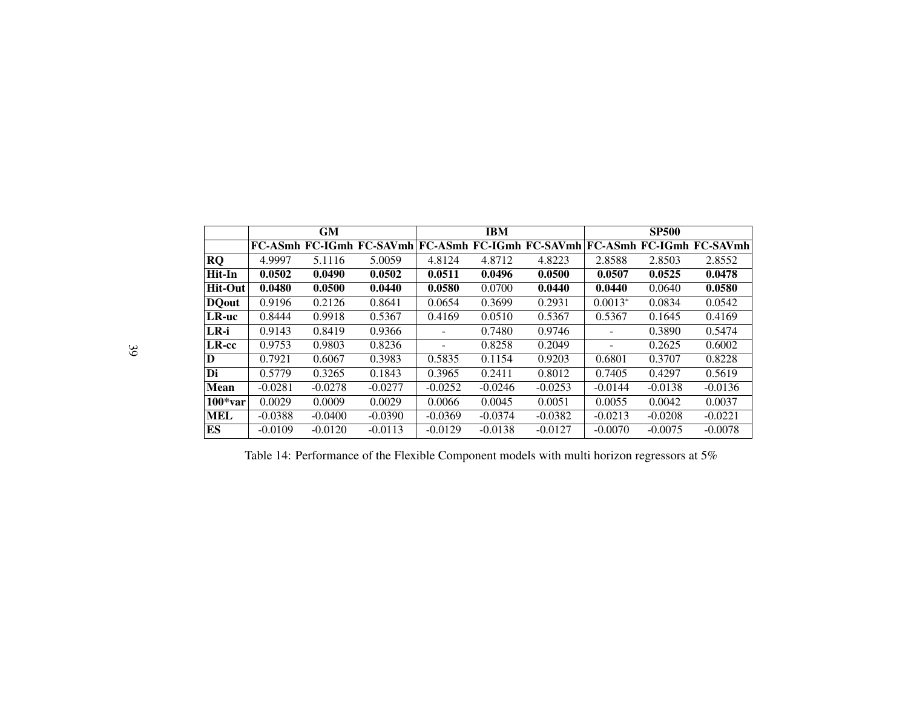|                | <b>GM</b> |           |                                 |                          | <b>IBM</b> |           | <b>SP500</b> |           |                                                          |
|----------------|-----------|-----------|---------------------------------|--------------------------|------------|-----------|--------------|-----------|----------------------------------------------------------|
|                |           |           | <b>FC-ASmh FC-IGmh FC-SAVmh</b> |                          |            |           |              |           | <b>FC-ASmh FC-IGmh FC-SAVmh FC-ASmh FC-IGmh FC-SAVmh</b> |
| <b>RQ</b>      | 4.9997    | 5.1116    | 5.0059                          | 4.8124                   | 4.8712     | 4.8223    | 2.8588       | 2.8503    | 2.8552                                                   |
| Hit-In         | 0.0502    | 0.0490    | 0.0502                          | 0.0511                   | 0.0496     | 0.0500    | 0.0507       | 0.0525    | 0.0478                                                   |
| <b>Hit-Out</b> | 0.0480    | 0.0500    | 0.0440                          | 0.0580                   | 0.0700     | 0.0440    | 0.0440       | 0.0640    | 0.0580                                                   |
| <b>DQ</b> out  | 0.9196    | 0.2126    | 0.8641                          | 0.0654                   | 0.3699     | 0.2931    | $0.0013*$    | 0.0834    | 0.0542                                                   |
| LR-uc          | 0.8444    | 0.9918    | 0.5367                          | 0.4169                   | 0.0510     | 0.5367    | 0.5367       | 0.1645    | 0.4169                                                   |
| $LR - i$       | 0.9143    | 0.8419    | 0.9366                          |                          | 0.7480     | 0.9746    | ۰            | 0.3890    | 0.5474                                                   |
| LR-cc          | 0.9753    | 0.9803    | 0.8236                          | $\overline{\phantom{a}}$ | 0.8258     | 0.2049    | -            | 0.2625    | 0.6002                                                   |
| D              | 0.7921    | 0.6067    | 0.3983                          | 0.5835                   | 0.1154     | 0.9203    | 0.6801       | 0.3707    | 0.8228                                                   |
| Di             | 0.5779    | 0.3265    | 0.1843                          | 0.3965                   | 0.2411     | 0.8012    | 0.7405       | 0.4297    | 0.5619                                                   |
| <b>Mean</b>    | $-0.0281$ | $-0.0278$ | $-0.0277$                       | $-0.0252$                | $-0.0246$  | $-0.0253$ | $-0.0144$    | $-0.0138$ | $-0.0136$                                                |
| $100*var$      | 0.0029    | 0.0009    | 0.0029                          | 0.0066                   | 0.0045     | 0.0051    | 0.0055       | 0.0042    | 0.0037                                                   |
| <b>MEL</b>     | $-0.0388$ | $-0.0400$ | $-0.0390$                       | $-0.0369$                | $-0.0374$  | $-0.0382$ | $-0.0213$    | $-0.0208$ | $-0.0221$                                                |
| ES             | $-0.0109$ | $-0.0120$ | $-0.0113$                       | $-0.0129$                | $-0.0138$  | $-0.0127$ | $-0.0070$    | $-0.0075$ | $-0.0078$                                                |

<span id="page-39-0"></span>Table 14: Performance of the Flexible Component models with multi horizon regressors at 5%